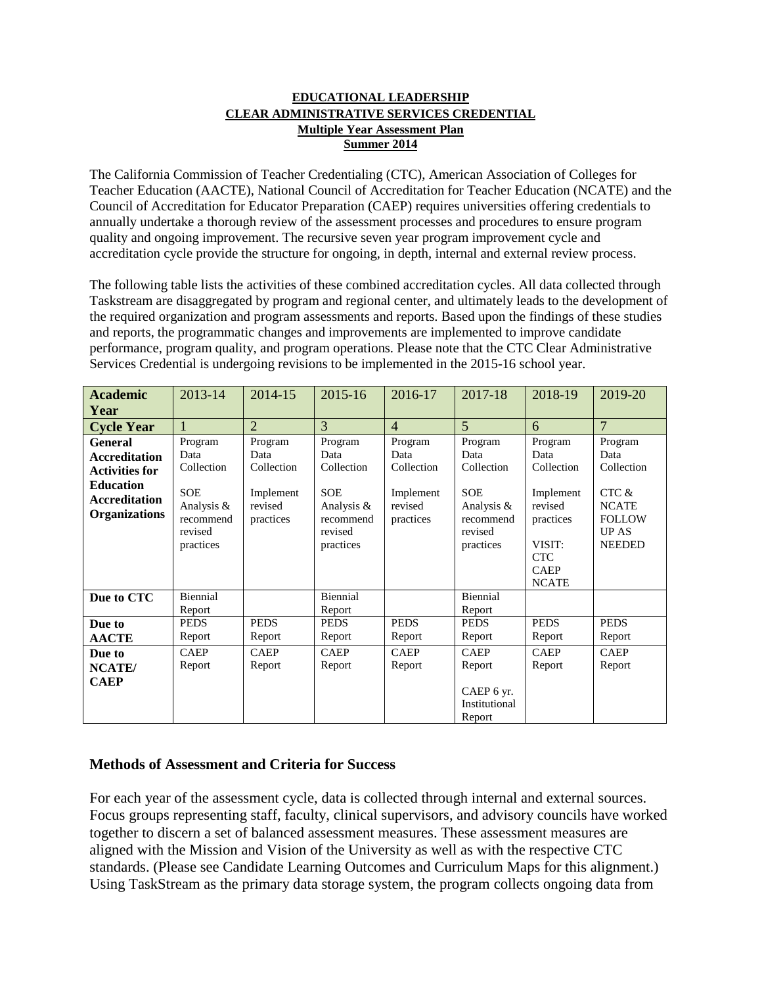#### **EDUCATIONAL LEADERSHIP CLEAR ADMINISTRATIVE SERVICES CREDENTIAL Multiple Year Assessment Plan Summer 2014**

The California Commission of Teacher Credentialing (CTC), American Association of Colleges for Teacher Education (AACTE), National Council of Accreditation for Teacher Education (NCATE) and the Council of Accreditation for Educator Preparation (CAEP) requires universities offering credentials to annually undertake a thorough review of the assessment processes and procedures to ensure program quality and ongoing improvement. The recursive seven year program improvement cycle and accreditation cycle provide the structure for ongoing, in depth, internal and external review process.

The following table lists the activities of these combined accreditation cycles. All data collected through Taskstream are disaggregated by program and regional center, and ultimately leads to the development of the required organization and program assessments and reports. Based upon the findings of these studies and reports, the programmatic changes and improvements are implemented to improve candidate performance, program quality, and program operations. Please note that the CTC Clear Administrative Services Credential is undergoing revisions to be implemented in the 2015-16 school year.

| <b>Academic</b><br>Year                                                                                                             | 2013-14                                                                                        | 2014-15                                                            | 2015-16                                                                                        | 2016-17                                                            | 2017-18                                                                                        | 2018-19                                                                                                                   | 2019-20                                                                                                 |
|-------------------------------------------------------------------------------------------------------------------------------------|------------------------------------------------------------------------------------------------|--------------------------------------------------------------------|------------------------------------------------------------------------------------------------|--------------------------------------------------------------------|------------------------------------------------------------------------------------------------|---------------------------------------------------------------------------------------------------------------------------|---------------------------------------------------------------------------------------------------------|
| <b>Cycle Year</b>                                                                                                                   |                                                                                                | $\overline{2}$                                                     | 3                                                                                              | $\overline{4}$                                                     | 5                                                                                              | 6                                                                                                                         | $\overline{7}$                                                                                          |
| <b>General</b><br><b>Accreditation</b><br><b>Activities for</b><br><b>Education</b><br><b>Accreditation</b><br><b>Organizations</b> | Program<br>Data<br>Collection<br><b>SOE</b><br>Analysis &<br>recommend<br>revised<br>practices | Program<br>Data<br>Collection<br>Implement<br>revised<br>practices | Program<br>Data<br>Collection<br><b>SOE</b><br>Analysis &<br>recommend<br>revised<br>practices | Program<br>Data<br>Collection<br>Implement<br>revised<br>practices | Program<br>Data<br>Collection<br><b>SOE</b><br>Analysis &<br>recommend<br>revised<br>practices | Program<br>Data<br>Collection<br>Implement<br>revised<br>practices<br>VISIT:<br><b>CTC</b><br><b>CAEP</b><br><b>NCATE</b> | Program<br>Data<br>Collection<br>CTC &<br><b>NCATE</b><br><b>FOLLOW</b><br><b>UPAS</b><br><b>NEEDED</b> |
| Due to CTC                                                                                                                          | Biennial<br>Report                                                                             |                                                                    | Biennial<br>Report                                                                             |                                                                    | Biennial<br>Report                                                                             |                                                                                                                           |                                                                                                         |
| Due to<br><b>AACTE</b>                                                                                                              | <b>PEDS</b><br>Report                                                                          | <b>PEDS</b><br>Report                                              | <b>PEDS</b><br>Report                                                                          | <b>PEDS</b><br>Report                                              | <b>PEDS</b><br>Report                                                                          | <b>PEDS</b><br>Report                                                                                                     | <b>PEDS</b><br>Report                                                                                   |
| Due to<br><b>NCATE</b> /<br><b>CAEP</b>                                                                                             | <b>CAEP</b><br>Report                                                                          | <b>CAEP</b><br>Report                                              | <b>CAEP</b><br>Report                                                                          | <b>CAEP</b><br>Report                                              | <b>CAEP</b><br>Report<br>CAEP 6 yr.<br>Institutional<br>Report                                 | <b>CAEP</b><br>Report                                                                                                     | <b>CAEP</b><br>Report                                                                                   |

#### **Methods of Assessment and Criteria for Success**

For each year of the assessment cycle, data is collected through internal and external sources. Focus groups representing staff, faculty, clinical supervisors, and advisory councils have worked together to discern a set of balanced assessment measures. These assessment measures are aligned with the Mission and Vision of the University as well as with the respective CTC standards. (Please see Candidate Learning Outcomes and Curriculum Maps for this alignment.) Using TaskStream as the primary data storage system, the program collects ongoing data from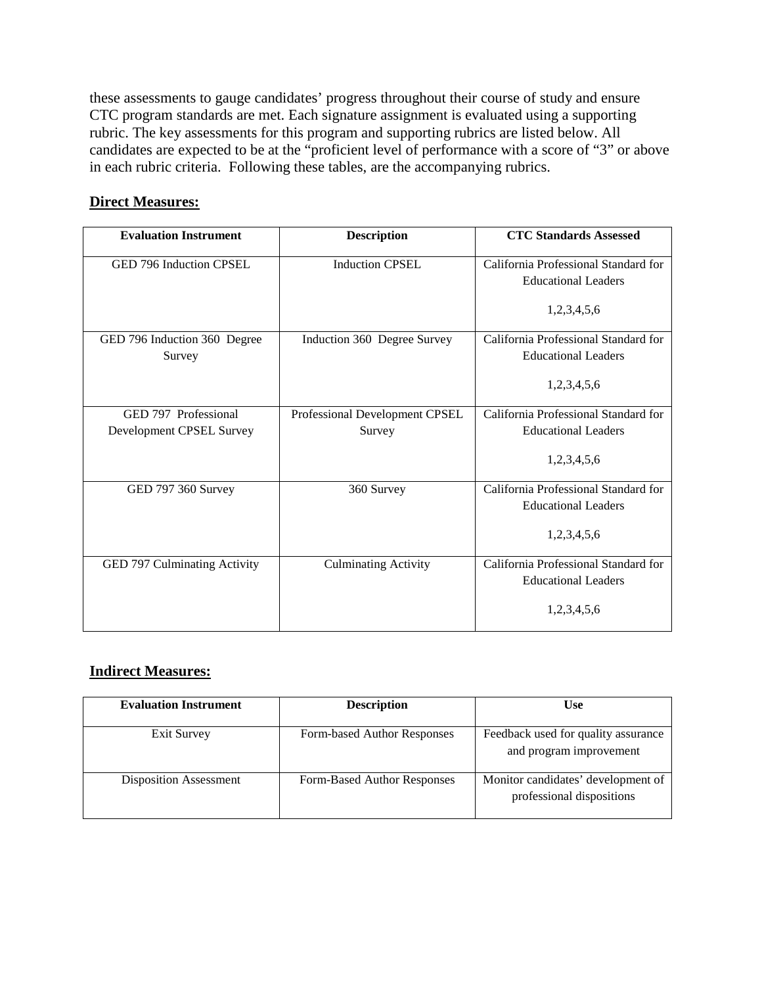these assessments to gauge candidates' progress throughout their course of study and ensure CTC program standards are met. Each signature assignment is evaluated using a supporting rubric. The key assessments for this program and supporting rubrics are listed below. All candidates are expected to be at the "proficient level of performance with a score of "3" or above in each rubric criteria. Following these tables, are the accompanying rubrics.

#### **Direct Measures:**

| <b>Evaluation Instrument</b> | <b>Description</b>             | <b>CTC Standards Assessed</b>                                      |
|------------------------------|--------------------------------|--------------------------------------------------------------------|
| GED 796 Induction CPSEL      | <b>Induction CPSEL</b>         | California Professional Standard for                               |
|                              |                                | <b>Educational Leaders</b>                                         |
|                              |                                | 1,2,3,4,5,6                                                        |
| GED 796 Induction 360 Degree | Induction 360 Degree Survey    | California Professional Standard for                               |
| Survey                       |                                | <b>Educational Leaders</b>                                         |
|                              |                                | 1,2,3,4,5,6                                                        |
| GED 797 Professional         | Professional Development CPSEL | California Professional Standard for                               |
| Development CPSEL Survey     | Survey                         | <b>Educational Leaders</b>                                         |
|                              |                                | 1,2,3,4,5,6                                                        |
| GED 797 360 Survey           | 360 Survey                     | California Professional Standard for                               |
|                              |                                | <b>Educational Leaders</b>                                         |
|                              |                                | 1,2,3,4,5,6                                                        |
| GED 797 Culminating Activity | <b>Culminating Activity</b>    | California Professional Standard for<br><b>Educational Leaders</b> |
|                              |                                |                                                                    |
|                              |                                | 1,2,3,4,5,6                                                        |

#### **Indirect Measures:**

| <b>Evaluation Instrument</b>  | <b>Description</b>          | <b>Use</b>                                                      |
|-------------------------------|-----------------------------|-----------------------------------------------------------------|
| Exit Survey                   | Form-based Author Responses | Feedback used for quality assurance<br>and program improvement  |
| <b>Disposition Assessment</b> | Form-Based Author Responses | Monitor candidates' development of<br>professional dispositions |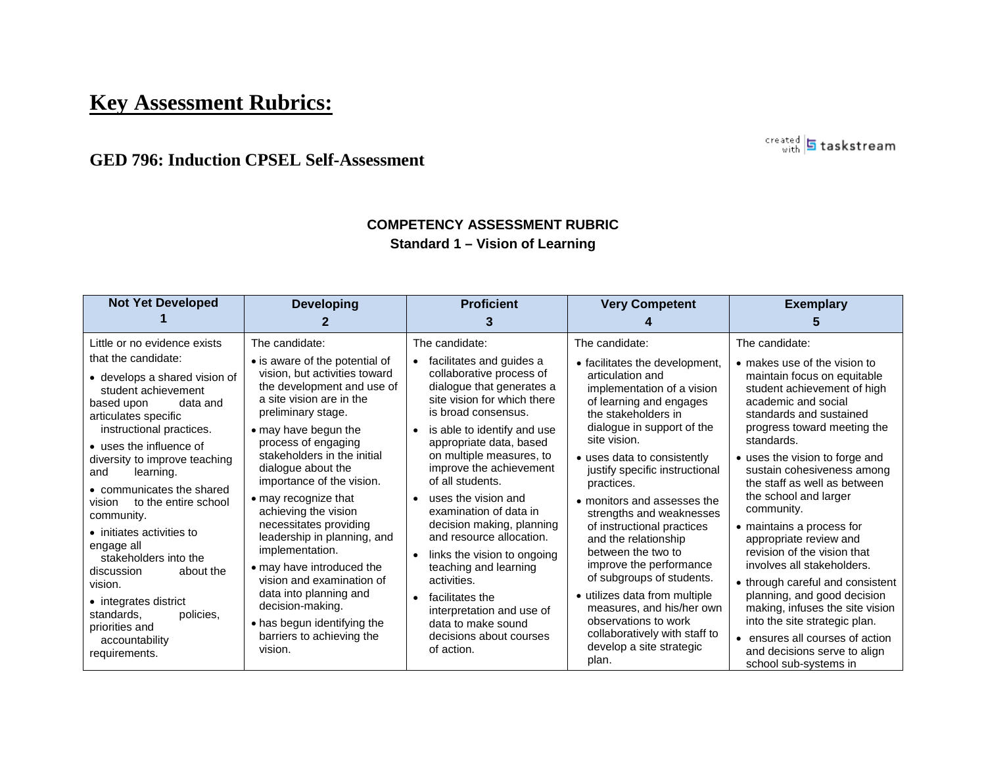# **Key Assessment Rubrics:**

### **GED 796: Induction CPSEL Self-Assessment**

#### **COMPETENCY ASSESSMENT RUBRIC Standard 1 – Vision of Learning**

created **5** taskstream

| <b>Not Yet Developed</b>                                                                                                                                                                                                                                                                                                                                                                                                                                                                                                                                                          | <b>Developing</b>                                                                                                                                                                                                                                                                                                                                                                                                                                                                                                                                                                                             | <b>Proficient</b>                                                                                                                                                                                                                                                                                                                                                                                                                                                                                                                                                                                                                                               | <b>Very Competent</b>                                                                                                                                                                                                                                                                                                                                                                                                                                                                                                                                                                                                                        | <b>Exemplary</b>                                                                                                                                                                                                                                                                                                                                                                                                                                                                                                                                                                                                                                                                                          |
|-----------------------------------------------------------------------------------------------------------------------------------------------------------------------------------------------------------------------------------------------------------------------------------------------------------------------------------------------------------------------------------------------------------------------------------------------------------------------------------------------------------------------------------------------------------------------------------|---------------------------------------------------------------------------------------------------------------------------------------------------------------------------------------------------------------------------------------------------------------------------------------------------------------------------------------------------------------------------------------------------------------------------------------------------------------------------------------------------------------------------------------------------------------------------------------------------------------|-----------------------------------------------------------------------------------------------------------------------------------------------------------------------------------------------------------------------------------------------------------------------------------------------------------------------------------------------------------------------------------------------------------------------------------------------------------------------------------------------------------------------------------------------------------------------------------------------------------------------------------------------------------------|----------------------------------------------------------------------------------------------------------------------------------------------------------------------------------------------------------------------------------------------------------------------------------------------------------------------------------------------------------------------------------------------------------------------------------------------------------------------------------------------------------------------------------------------------------------------------------------------------------------------------------------------|-----------------------------------------------------------------------------------------------------------------------------------------------------------------------------------------------------------------------------------------------------------------------------------------------------------------------------------------------------------------------------------------------------------------------------------------------------------------------------------------------------------------------------------------------------------------------------------------------------------------------------------------------------------------------------------------------------------|
| Little or no evidence exists<br>that the candidate:<br>• develops a shared vision of<br>student achievement<br>based upon<br>data and<br>articulates specific<br>instructional practices.<br>• uses the influence of<br>diversity to improve teaching<br>learning.<br>and<br>• communicates the shared<br>to the entire school<br>vision<br>community.<br>$\bullet$ initiates activities to<br>engage all<br>stakeholders into the<br>about the<br>discussion<br>vision.<br>• integrates district<br>policies,<br>standards,<br>priorities and<br>accountability<br>requirements. | The candidate:<br>• is aware of the potential of<br>vision, but activities toward<br>the development and use of<br>a site vision are in the<br>preliminary stage.<br>• may have begun the<br>process of engaging<br>stakeholders in the initial<br>dialogue about the<br>importance of the vision.<br>• may recognize that<br>achieving the vision<br>necessitates providing<br>leadership in planning, and<br>implementation.<br>• may have introduced the<br>vision and examination of<br>data into planning and<br>decision-making.<br>• has begun identifying the<br>barriers to achieving the<br>vision. | The candidate:<br>facilitates and guides a<br>$\bullet$<br>collaborative process of<br>dialogue that generates a<br>site vision for which there<br>is broad consensus.<br>is able to identify and use<br>$\bullet$<br>appropriate data, based<br>on multiple measures, to<br>improve the achievement<br>of all students.<br>uses the vision and<br>$\bullet$<br>examination of data in<br>decision making, planning<br>and resource allocation.<br>links the vision to ongoing<br>$\bullet$<br>teaching and learning<br>activities.<br>facilitates the<br>$\bullet$<br>interpretation and use of<br>data to make sound<br>decisions about courses<br>of action. | The candidate:<br>• facilitates the development,<br>articulation and<br>implementation of a vision<br>of learning and engages<br>the stakeholders in<br>dialogue in support of the<br>site vision.<br>• uses data to consistently<br>justify specific instructional<br>practices.<br>• monitors and assesses the<br>strengths and weaknesses<br>of instructional practices<br>and the relationship<br>between the two to<br>improve the performance<br>of subgroups of students.<br>• utilizes data from multiple<br>measures, and his/her own<br>observations to work<br>collaboratively with staff to<br>develop a site strategic<br>plan. | The candidate:<br>• makes use of the vision to<br>maintain focus on equitable<br>student achievement of high<br>academic and social<br>standards and sustained<br>progress toward meeting the<br>standards.<br>• uses the vision to forge and<br>sustain cohesiveness among<br>the staff as well as between<br>the school and larger<br>community.<br>• maintains a process for<br>appropriate review and<br>revision of the vision that<br>involves all stakeholders.<br>• through careful and consistent<br>planning, and good decision<br>making, infuses the site vision<br>into the site strategic plan.<br>• ensures all courses of action<br>and decisions serve to align<br>school sub-systems in |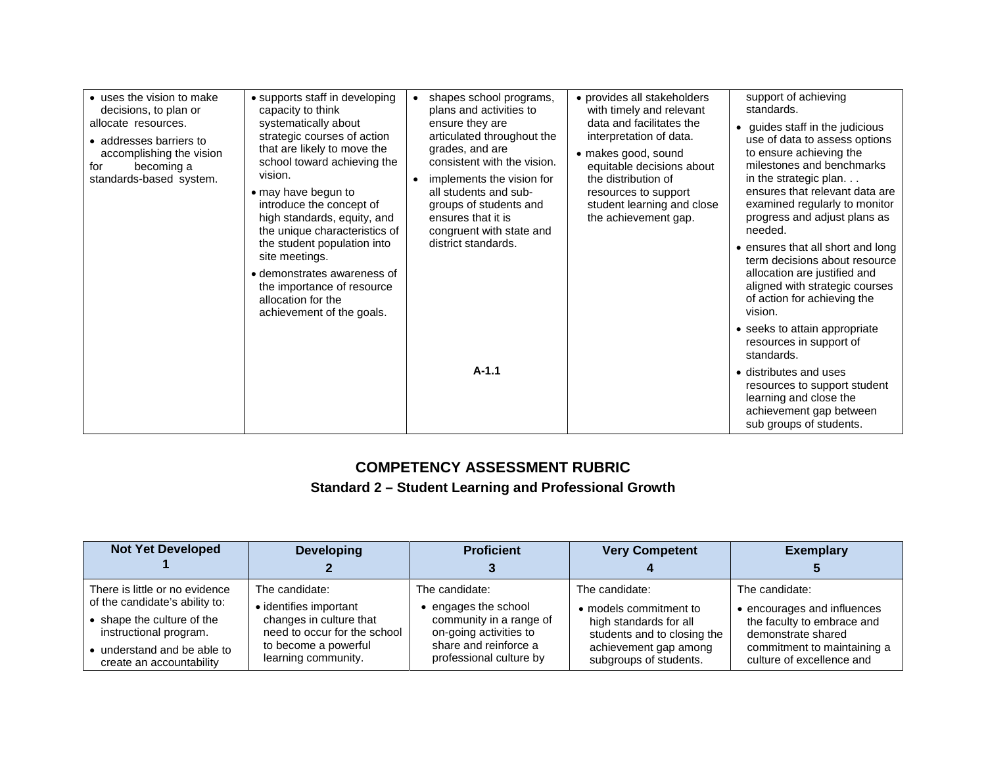| • uses the vision to make<br>decisions, to plan or<br>allocate resources.<br>• addresses barriers to<br>accomplishing the vision<br>becoming a<br>for<br>standards-based system. | • supports staff in developing<br>capacity to think<br>systematically about<br>strategic courses of action<br>that are likely to move the<br>school toward achieving the<br>vision.<br>• may have begun to<br>introduce the concept of<br>high standards, equity, and<br>the unique characteristics of<br>the student population into<br>site meetings.<br>• demonstrates awareness of<br>the importance of resource<br>allocation for the<br>achievement of the goals. | $\bullet$ | shapes school programs,<br>plans and activities to<br>ensure they are<br>articulated throughout the<br>grades, and are<br>consistent with the vision.<br>implements the vision for<br>all students and sub-<br>groups of students and<br>ensures that it is<br>congruent with state and<br>district standards. | • provides all stakeholders<br>with timely and relevant<br>data and facilitates the<br>interpretation of data.<br>• makes good, sound<br>equitable decisions about<br>the distribution of<br>resources to support<br>student learning and close<br>the achievement gap. | support of achieving<br>standards.<br>• guides staff in the judicious<br>use of data to assess options<br>to ensure achieving the<br>milestones and benchmarks<br>in the strategic plan<br>ensures that relevant data are<br>examined regularly to monitor<br>progress and adjust plans as<br>needed. |
|----------------------------------------------------------------------------------------------------------------------------------------------------------------------------------|-------------------------------------------------------------------------------------------------------------------------------------------------------------------------------------------------------------------------------------------------------------------------------------------------------------------------------------------------------------------------------------------------------------------------------------------------------------------------|-----------|----------------------------------------------------------------------------------------------------------------------------------------------------------------------------------------------------------------------------------------------------------------------------------------------------------------|-------------------------------------------------------------------------------------------------------------------------------------------------------------------------------------------------------------------------------------------------------------------------|-------------------------------------------------------------------------------------------------------------------------------------------------------------------------------------------------------------------------------------------------------------------------------------------------------|
|                                                                                                                                                                                  |                                                                                                                                                                                                                                                                                                                                                                                                                                                                         |           |                                                                                                                                                                                                                                                                                                                |                                                                                                                                                                                                                                                                         | • ensures that all short and long<br>term decisions about resource<br>allocation are justified and<br>aligned with strategic courses<br>of action for achieving the<br>vision.                                                                                                                        |
|                                                                                                                                                                                  |                                                                                                                                                                                                                                                                                                                                                                                                                                                                         |           |                                                                                                                                                                                                                                                                                                                | • seeks to attain appropriate<br>resources in support of<br>standards.                                                                                                                                                                                                  |                                                                                                                                                                                                                                                                                                       |
|                                                                                                                                                                                  |                                                                                                                                                                                                                                                                                                                                                                                                                                                                         | $A-1.1$   |                                                                                                                                                                                                                                                                                                                | • distributes and uses<br>resources to support student<br>learning and close the<br>achievement gap between<br>sub groups of students.                                                                                                                                  |                                                                                                                                                                                                                                                                                                       |

## **COMPETENCY ASSESSMENT RUBRIC Standard 2 – Student Learning and Professional Growth**

| <b>Not Yet Developed</b>                              | <b>Developing</b>                                       | <b>Proficient</b>                                 | <b>Very Competent</b>                                 | <b>Exemplary</b>                                         |
|-------------------------------------------------------|---------------------------------------------------------|---------------------------------------------------|-------------------------------------------------------|----------------------------------------------------------|
|                                                       |                                                         |                                                   |                                                       |                                                          |
| There is little or no evidence                        | The candidate:                                          | The candidate:                                    | The candidate:                                        | The candidate:                                           |
| of the candidate's ability to:                        | • identifies important                                  | engages the school                                | • models commitment to                                | • encourages and influences                              |
| • shape the culture of the<br>instructional program.  | changes in culture that<br>need to occur for the school | community in a range of<br>on-going activities to | high standards for all<br>students and to closing the | the faculty to embrace and<br>demonstrate shared         |
| understand and be able to<br>create an accountability | to become a powerful<br>learning community.             | share and reinforce a<br>professional culture by  | achievement gap among<br>subgroups of students.       | commitment to maintaining a<br>culture of excellence and |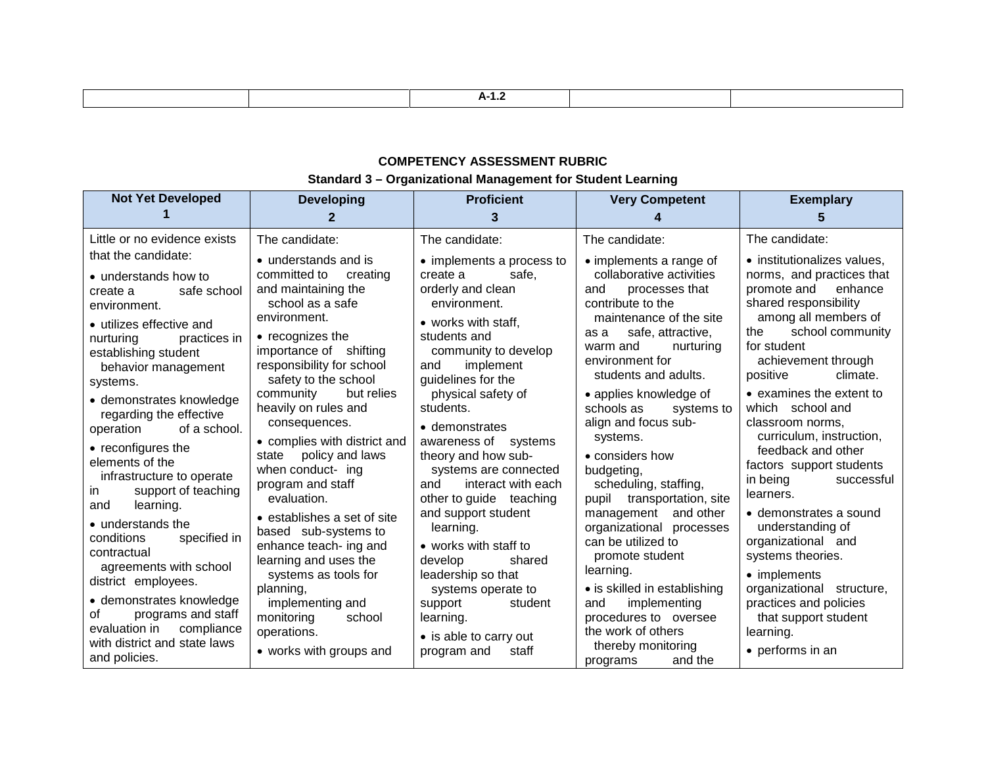#### **COMPETENCY ASSESSMENT RUBRIC Standard 3 – Organizational Management for Student Learning**

| <b>Not Yet Developed</b>                                                                                                                                                                                                                                                                                                                                                                                                                                                                                                                                                                                                                                                                         | <b>Developing</b>                                                                                                                                                                                                                                                                                                                                                                                                                                                                                                                                                                                                                   | <b>Proficient</b><br>3                                                                                                                                                                                                                                                                                                                                                                                                                                                                                                                                                                         | <b>Very Competent</b>                                                                                                                                                                                                                                                                                                                                                                                                                                                                                                                                                                                                                                | <b>Exemplary</b><br>5                                                                                                                                                                                                                                                                                                                                                                                                                                                                                                                                                                                                                        |
|--------------------------------------------------------------------------------------------------------------------------------------------------------------------------------------------------------------------------------------------------------------------------------------------------------------------------------------------------------------------------------------------------------------------------------------------------------------------------------------------------------------------------------------------------------------------------------------------------------------------------------------------------------------------------------------------------|-------------------------------------------------------------------------------------------------------------------------------------------------------------------------------------------------------------------------------------------------------------------------------------------------------------------------------------------------------------------------------------------------------------------------------------------------------------------------------------------------------------------------------------------------------------------------------------------------------------------------------------|------------------------------------------------------------------------------------------------------------------------------------------------------------------------------------------------------------------------------------------------------------------------------------------------------------------------------------------------------------------------------------------------------------------------------------------------------------------------------------------------------------------------------------------------------------------------------------------------|------------------------------------------------------------------------------------------------------------------------------------------------------------------------------------------------------------------------------------------------------------------------------------------------------------------------------------------------------------------------------------------------------------------------------------------------------------------------------------------------------------------------------------------------------------------------------------------------------------------------------------------------------|----------------------------------------------------------------------------------------------------------------------------------------------------------------------------------------------------------------------------------------------------------------------------------------------------------------------------------------------------------------------------------------------------------------------------------------------------------------------------------------------------------------------------------------------------------------------------------------------------------------------------------------------|
| Little or no evidence exists<br>that the candidate:<br>• understands how to<br>safe school<br>create a<br>environment.<br>• utilizes effective and<br>nurturing<br>practices in<br>establishing student<br>behavior management<br>systems.<br>• demonstrates knowledge<br>regarding the effective<br>of a school.<br>operation<br>• reconfigures the<br>elements of the<br>infrastructure to operate<br>support of teaching<br>in.<br>learning.<br>and<br>• understands the<br>specified in<br>conditions<br>contractual<br>agreements with school<br>district employees.<br>· demonstrates knowledge<br>programs and staff<br>οf<br>compliance<br>evaluation in<br>with district and state laws | The candidate:<br>• understands and is<br>committed to<br>creating<br>and maintaining the<br>school as a safe<br>environment.<br>• recognizes the<br>importance of shifting<br>responsibility for school<br>safety to the school<br>community<br>but relies<br>heavily on rules and<br>consequences.<br>• complies with district and<br>policy and laws<br>state<br>when conduct- ing<br>program and staff<br>evaluation.<br>• establishes a set of site<br>based sub-systems to<br>enhance teach- ing and<br>learning and uses the<br>systems as tools for<br>planning,<br>implementing and<br>monitoring<br>school<br>operations. | The candidate:<br>• implements a process to<br>safe.<br>create a<br>orderly and clean<br>environment.<br>• works with staff,<br>students and<br>community to develop<br>implement<br>and<br>guidelines for the<br>physical safety of<br>students.<br>• demonstrates<br>awareness of systems<br>theory and how sub-<br>systems are connected<br>interact with each<br>and<br>other to guide teaching<br>and support student<br>learning.<br>• works with staff to<br>develop<br>shared<br>leadership so that<br>systems operate to<br>support<br>student<br>learning.<br>• is able to carry out | The candidate:<br>• implements a range of<br>collaborative activities<br>processes that<br>and<br>contribute to the<br>maintenance of the site<br>safe, attractive,<br>as a<br>warm and<br>nurturing<br>environment for<br>students and adults.<br>• applies knowledge of<br>schools as<br>systems to<br>align and focus sub-<br>systems.<br>• considers how<br>budgeting,<br>scheduling, staffing,<br>transportation, site<br>pupil<br>management and other<br>organizational processes<br>can be utilized to<br>promote student<br>learning.<br>• is skilled in establishing<br>implementing<br>and<br>procedures to oversee<br>the work of others | The candidate:<br>• institutionalizes values.<br>norms, and practices that<br>promote and<br>enhance<br>shared responsibility<br>among all members of<br>school community<br>the<br>for student<br>achievement through<br>climate.<br>positive<br>• examines the extent to<br>which school and<br>classroom norms,<br>curriculum, instruction,<br>feedback and other<br>factors support students<br>in being<br>successful<br>learners.<br>• demonstrates a sound<br>understanding of<br>organizational and<br>systems theories.<br>• implements<br>organizational structure,<br>practices and policies<br>that support student<br>learning. |
| and policies.                                                                                                                                                                                                                                                                                                                                                                                                                                                                                                                                                                                                                                                                                    | • works with groups and                                                                                                                                                                                                                                                                                                                                                                                                                                                                                                                                                                                                             | staff<br>program and                                                                                                                                                                                                                                                                                                                                                                                                                                                                                                                                                                           | thereby monitoring<br>and the<br>programs                                                                                                                                                                                                                                                                                                                                                                                                                                                                                                                                                                                                            | • performs in an                                                                                                                                                                                                                                                                                                                                                                                                                                                                                                                                                                                                                             |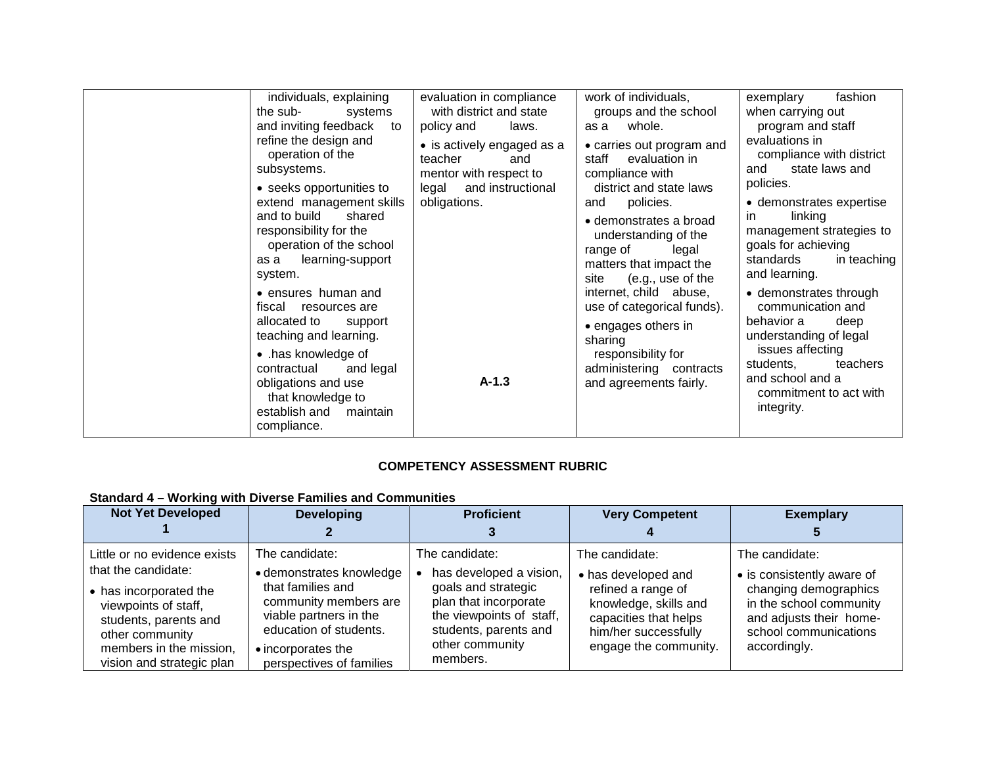| individuals, explaining                                                                                                                 | evaluation in compliance                                               | work of individuals,                                                                                                        | fashion<br>exemplary                                                                                           |
|-----------------------------------------------------------------------------------------------------------------------------------------|------------------------------------------------------------------------|-----------------------------------------------------------------------------------------------------------------------------|----------------------------------------------------------------------------------------------------------------|
| the sub-<br>systems                                                                                                                     | with district and state                                                | groups and the school                                                                                                       | when carrying out                                                                                              |
| and inviting feedback<br>to                                                                                                             | policy and<br>laws.                                                    | whole.<br>as a                                                                                                              | program and staff                                                                                              |
| refine the design and<br>operation of the<br>subsystems.                                                                                | • is actively engaged as a<br>teacher<br>and<br>mentor with respect to | • carries out program and<br>staff<br>evaluation in<br>compliance with                                                      | evaluations in<br>compliance with district<br>state laws and<br>and<br>policies.                               |
| • seeks opportunities to<br>extend management skills                                                                                    | and instructional<br>legal<br>obligations.                             | district and state laws<br>policies.<br>and                                                                                 | • demonstrates expertise                                                                                       |
| and to build<br>shared<br>responsibility for the<br>operation of the school<br>learning-support<br>as a<br>system.                      |                                                                        | • demonstrates a broad<br>understanding of the<br>range of<br>legal<br>matters that impact the<br>(e.g., use of the<br>site | linking<br>in.<br>management strategies to<br>goals for achieving<br>standards<br>in teaching<br>and learning. |
| • ensures human and<br>fiscal<br>resources are<br>allocated to<br>support<br>teaching and learning.                                     |                                                                        | internet, child abuse,<br>use of categorical funds).<br>• engages others in<br>sharing                                      | • demonstrates through<br>communication and<br>behavior a<br>deep<br>understanding of legal                    |
| • .has knowledge of<br>contractual<br>and legal<br>obligations and use<br>that knowledge to<br>establish and<br>maintain<br>compliance. | $A-1.3$                                                                | responsibility for<br>administering<br>contracts<br>and agreements fairly.                                                  | issues affecting<br>students,<br>teachers<br>and school and a<br>commitment to act with<br>integrity.          |

#### **COMPETENCY ASSESSMENT RUBRIC**

#### **Standard 4 – Working with Diverse Families and Communities**

| <b>Not Yet Developed</b>                                                                                                                                                  | <b>Developing</b>                                                                                                                                                            | <b>Proficient</b>                                                                                                                                           | <b>Very Competent</b>                                                                                                                        | <b>Exemplary</b>                                                                                                                                   |
|---------------------------------------------------------------------------------------------------------------------------------------------------------------------------|------------------------------------------------------------------------------------------------------------------------------------------------------------------------------|-------------------------------------------------------------------------------------------------------------------------------------------------------------|----------------------------------------------------------------------------------------------------------------------------------------------|----------------------------------------------------------------------------------------------------------------------------------------------------|
|                                                                                                                                                                           |                                                                                                                                                                              |                                                                                                                                                             |                                                                                                                                              |                                                                                                                                                    |
| Little or no evidence exists                                                                                                                                              | The candidate:                                                                                                                                                               | The candidate:                                                                                                                                              | The candidate:                                                                                                                               | The candidate:                                                                                                                                     |
| that the candidate:<br>• has incorporated the<br>viewpoints of staff,<br>students, parents and<br>other community<br>members in the mission,<br>vision and strategic plan | · demonstrates knowledge<br>that families and<br>community members are<br>viable partners in the<br>education of students.<br>• incorporates the<br>perspectives of families | has developed a vision,<br>goals and strategic<br>plan that incorporate<br>the viewpoints of staff,<br>students, parents and<br>other community<br>members. | • has developed and<br>refined a range of<br>knowledge, skills and<br>capacities that helps<br>him/her successfully<br>engage the community. | • is consistently aware of<br>changing demographics<br>in the school community<br>and adjusts their home-<br>school communications<br>accordingly. |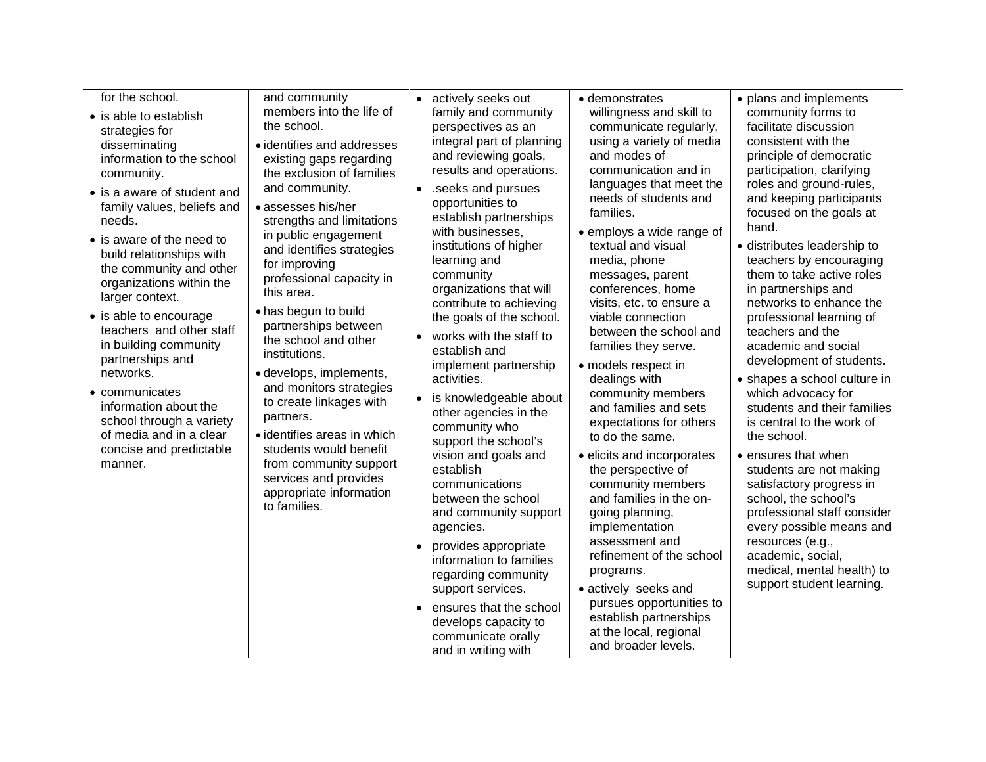| for the school.<br>• is able to establish<br>strategies for<br>disseminating<br>information to the school<br>community.<br>• is a aware of student and<br>family values, beliefs and<br>needs.<br>• is aware of the need to<br>build relationships with<br>the community and other<br>organizations within the<br>larger context.<br>• is able to encourage<br>teachers and other staff<br>in building community<br>partnerships and<br>networks.<br>• communicates<br>information about the<br>school through a variety<br>of media and in a clear<br>concise and predictable<br>manner. | and community<br>members into the life of<br>the school.<br>· identifies and addresses<br>existing gaps regarding<br>the exclusion of families<br>and community.<br>· assesses his/her<br>strengths and limitations<br>in public engagement<br>and identifies strategies<br>for improving<br>professional capacity in<br>this area.<br>• has begun to build<br>partnerships between<br>the school and other<br>institutions.<br>· develops, implements,<br>and monitors strategies<br>to create linkages with<br>partners.<br>• identifies areas in which<br>students would benefit<br>from community support<br>services and provides<br>appropriate information<br>to families. | $\bullet$<br>$\bullet$<br>$\bullet$ | actively seeks out<br>family and community<br>perspectives as an<br>integral part of planning<br>and reviewing goals,<br>results and operations.<br>.seeks and pursues<br>opportunities to<br>establish partnerships<br>with businesses,<br>institutions of higher<br>learning and<br>community<br>organizations that will<br>contribute to achieving<br>the goals of the school.<br>works with the staff to<br>establish and<br>implement partnership<br>activities.<br>is knowledgeable about<br>other agencies in the<br>community who<br>support the school's<br>vision and goals and<br>establish<br>communications<br>between the school<br>and community support<br>agencies.<br>provides appropriate<br>information to families<br>regarding community<br>support services.<br>ensures that the school<br>develops capacity to<br>communicate orally<br>and in writing with | • demonstrates<br>willingness and skill to<br>communicate regularly,<br>using a variety of media<br>and modes of<br>communication and in<br>languages that meet the<br>needs of students and<br>families.<br>• employs a wide range of<br>textual and visual<br>media, phone<br>messages, parent<br>conferences, home<br>visits, etc. to ensure a<br>viable connection<br>between the school and<br>families they serve.<br>• models respect in<br>dealings with<br>community members<br>and families and sets<br>expectations for others<br>to do the same.<br>· elicits and incorporates<br>the perspective of<br>community members<br>and families in the on-<br>going planning,<br>implementation<br>assessment and<br>refinement of the school<br>programs.<br>· actively seeks and<br>pursues opportunities to<br>establish partnerships<br>at the local, regional<br>and broader levels. | • plans and implements<br>community forms to<br>facilitate discussion<br>consistent with the<br>principle of democratic<br>participation, clarifying<br>roles and ground-rules,<br>and keeping participants<br>focused on the goals at<br>hand.<br>· distributes leadership to<br>teachers by encouraging<br>them to take active roles<br>in partnerships and<br>networks to enhance the<br>professional learning of<br>teachers and the<br>academic and social<br>development of students.<br>• shapes a school culture in<br>which advocacy for<br>students and their families<br>is central to the work of<br>the school.<br>• ensures that when<br>students are not making<br>satisfactory progress in<br>school, the school's<br>professional staff consider<br>every possible means and<br>resources (e.g.,<br>academic, social,<br>medical, mental health) to<br>support student learning. |
|-------------------------------------------------------------------------------------------------------------------------------------------------------------------------------------------------------------------------------------------------------------------------------------------------------------------------------------------------------------------------------------------------------------------------------------------------------------------------------------------------------------------------------------------------------------------------------------------|-----------------------------------------------------------------------------------------------------------------------------------------------------------------------------------------------------------------------------------------------------------------------------------------------------------------------------------------------------------------------------------------------------------------------------------------------------------------------------------------------------------------------------------------------------------------------------------------------------------------------------------------------------------------------------------|-------------------------------------|-------------------------------------------------------------------------------------------------------------------------------------------------------------------------------------------------------------------------------------------------------------------------------------------------------------------------------------------------------------------------------------------------------------------------------------------------------------------------------------------------------------------------------------------------------------------------------------------------------------------------------------------------------------------------------------------------------------------------------------------------------------------------------------------------------------------------------------------------------------------------------------|-------------------------------------------------------------------------------------------------------------------------------------------------------------------------------------------------------------------------------------------------------------------------------------------------------------------------------------------------------------------------------------------------------------------------------------------------------------------------------------------------------------------------------------------------------------------------------------------------------------------------------------------------------------------------------------------------------------------------------------------------------------------------------------------------------------------------------------------------------------------------------------------------|---------------------------------------------------------------------------------------------------------------------------------------------------------------------------------------------------------------------------------------------------------------------------------------------------------------------------------------------------------------------------------------------------------------------------------------------------------------------------------------------------------------------------------------------------------------------------------------------------------------------------------------------------------------------------------------------------------------------------------------------------------------------------------------------------------------------------------------------------------------------------------------------------|
|-------------------------------------------------------------------------------------------------------------------------------------------------------------------------------------------------------------------------------------------------------------------------------------------------------------------------------------------------------------------------------------------------------------------------------------------------------------------------------------------------------------------------------------------------------------------------------------------|-----------------------------------------------------------------------------------------------------------------------------------------------------------------------------------------------------------------------------------------------------------------------------------------------------------------------------------------------------------------------------------------------------------------------------------------------------------------------------------------------------------------------------------------------------------------------------------------------------------------------------------------------------------------------------------|-------------------------------------|-------------------------------------------------------------------------------------------------------------------------------------------------------------------------------------------------------------------------------------------------------------------------------------------------------------------------------------------------------------------------------------------------------------------------------------------------------------------------------------------------------------------------------------------------------------------------------------------------------------------------------------------------------------------------------------------------------------------------------------------------------------------------------------------------------------------------------------------------------------------------------------|-------------------------------------------------------------------------------------------------------------------------------------------------------------------------------------------------------------------------------------------------------------------------------------------------------------------------------------------------------------------------------------------------------------------------------------------------------------------------------------------------------------------------------------------------------------------------------------------------------------------------------------------------------------------------------------------------------------------------------------------------------------------------------------------------------------------------------------------------------------------------------------------------|---------------------------------------------------------------------------------------------------------------------------------------------------------------------------------------------------------------------------------------------------------------------------------------------------------------------------------------------------------------------------------------------------------------------------------------------------------------------------------------------------------------------------------------------------------------------------------------------------------------------------------------------------------------------------------------------------------------------------------------------------------------------------------------------------------------------------------------------------------------------------------------------------|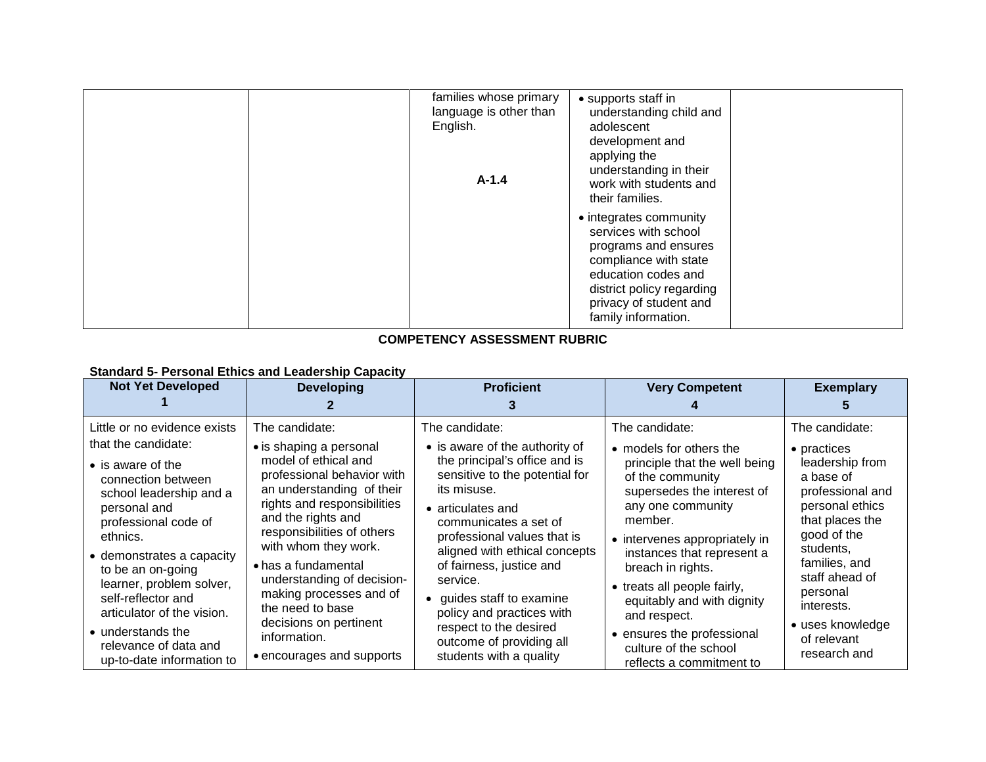| families whose primary<br>language is other than<br>English.<br>$A-1.4$ | • supports staff in<br>understanding child and<br>adolescent<br>development and<br>applying the<br>understanding in their<br>work with students and                                                  |  |
|-------------------------------------------------------------------------|------------------------------------------------------------------------------------------------------------------------------------------------------------------------------------------------------|--|
|                                                                         | their families.                                                                                                                                                                                      |  |
|                                                                         | • integrates community<br>services with school<br>programs and ensures<br>compliance with state<br>education codes and<br>district policy regarding<br>privacy of student and<br>family information. |  |

#### **COMPETENCY ASSESSMENT RUBRIC**

#### **Standard 5- Personal Ethics and Leadership Capacity**

| <b>Not Yet Developed</b>                                                                                                                                                                                                                                                                                                                                     | <b>Developing</b>                                                                                                                                                                                                                                                                                                                                                     | <b>Proficient</b>                                                                                                                                                                                                                                                                                                                                                                               | <b>Very Competent</b>                                                                                                                                                                                                                                                                                                                                       | <b>Exemplary</b>                                                                                                                                                                                                                     |
|--------------------------------------------------------------------------------------------------------------------------------------------------------------------------------------------------------------------------------------------------------------------------------------------------------------------------------------------------------------|-----------------------------------------------------------------------------------------------------------------------------------------------------------------------------------------------------------------------------------------------------------------------------------------------------------------------------------------------------------------------|-------------------------------------------------------------------------------------------------------------------------------------------------------------------------------------------------------------------------------------------------------------------------------------------------------------------------------------------------------------------------------------------------|-------------------------------------------------------------------------------------------------------------------------------------------------------------------------------------------------------------------------------------------------------------------------------------------------------------------------------------------------------------|--------------------------------------------------------------------------------------------------------------------------------------------------------------------------------------------------------------------------------------|
| Little or no evidence exists<br>that the candidate:<br>$\bullet$ is aware of the<br>connection between<br>school leadership and a<br>personal and<br>professional code of<br>ethnics.<br>$\bullet$ demonstrates a capacity<br>to be an on-going<br>learner, problem solver,<br>self-reflector and<br>articulator of the vision.<br>$\bullet$ understands the | The candidate:<br>• is shaping a personal<br>model of ethical and<br>professional behavior with<br>an understanding of their<br>rights and responsibilities<br>and the rights and<br>responsibilities of others<br>with whom they work.<br>• has a fundamental<br>understanding of decision-<br>making processes and of<br>the need to base<br>decisions on pertinent | The candidate:<br>• is aware of the authority of<br>the principal's office and is<br>sensitive to the potential for<br>its misuse.<br>$\bullet$ articulates and<br>communicates a set of<br>professional values that is<br>aligned with ethical concepts<br>of fairness, justice and<br>service.<br>guides staff to examine<br>$\bullet$<br>policy and practices with<br>respect to the desired | The candidate:<br>• models for others the<br>principle that the well being<br>of the community<br>supersedes the interest of<br>any one community<br>member.<br>• intervenes appropriately in<br>instances that represent a<br>breach in rights.<br>• treats all people fairly,<br>equitably and with dignity<br>and respect.<br>• ensures the professional | The candidate:<br>• practices<br>leadership from<br>a base of<br>professional and<br>personal ethics<br>that places the<br>good of the<br>students,<br>families, and<br>staff ahead of<br>personal<br>interests.<br>• uses knowledge |
| relevance of data and<br>up-to-date information to                                                                                                                                                                                                                                                                                                           | information.<br>• encourages and supports                                                                                                                                                                                                                                                                                                                             | outcome of providing all<br>students with a quality                                                                                                                                                                                                                                                                                                                                             | culture of the school<br>reflects a commitment to                                                                                                                                                                                                                                                                                                           | of relevant<br>research and                                                                                                                                                                                                          |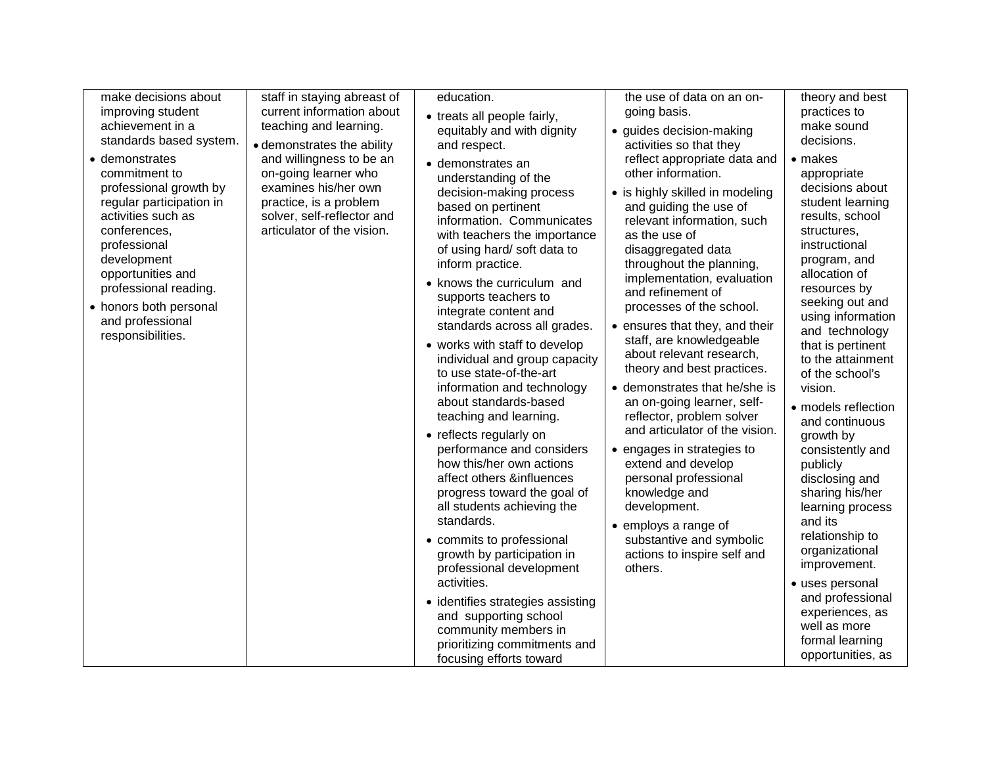| make decisions about<br>improving student<br>achievement in a<br>standards based system.<br>• demonstrates<br>commitment to<br>professional growth by<br>regular participation in<br>activities such as<br>conferences,<br>professional<br>development<br>opportunities and<br>professional reading.<br>• honors both personal<br>and professional<br>responsibilities. | staff in staying abreast of<br>current information about<br>teaching and learning.<br>• demonstrates the ability<br>and willingness to be an<br>on-going learner who<br>examines his/her own<br>practice, is a problem<br>solver, self-reflector and<br>articulator of the vision. | education.<br>• treats all people fairly,<br>equitably and with dignity<br>and respect.<br>· demonstrates an<br>understanding of the<br>decision-making process<br>based on pertinent<br>information. Communicates<br>with teachers the importance<br>of using hard/soft data to<br>inform practice.<br>• knows the curriculum and<br>supports teachers to<br>integrate content and<br>standards across all grades.<br>• works with staff to develop<br>individual and group capacity<br>to use state-of-the-art<br>information and technology<br>about standards-based<br>teaching and learning.<br>• reflects regularly on<br>performance and considers<br>how this/her own actions<br>affect others &influences<br>progress toward the goal of<br>all students achieving the<br>standards.<br>• commits to professional<br>growth by participation in<br>professional development<br>activities. | the use of data on an on-<br>going basis.<br>· guides decision-making<br>activities so that they<br>reflect appropriate data and<br>other information.<br>• is highly skilled in modeling<br>and guiding the use of<br>relevant information, such<br>as the use of<br>disaggregated data<br>throughout the planning,<br>implementation, evaluation<br>and refinement of<br>processes of the school.<br>• ensures that they, and their<br>staff, are knowledgeable<br>about relevant research,<br>theory and best practices.<br>• demonstrates that he/she is<br>an on-going learner, self-<br>reflector, problem solver<br>and articulator of the vision.<br>• engages in strategies to<br>extend and develop<br>personal professional<br>knowledge and<br>development.<br>• employs a range of<br>substantive and symbolic<br>actions to inspire self and<br>others. | theory and best<br>practices to<br>make sound<br>decisions.<br>• makes<br>appropriate<br>decisions about<br>student learning<br>results, school<br>structures,<br>instructional<br>program, and<br>allocation of<br>resources by<br>seeking out and<br>using information<br>and technology<br>that is pertinent<br>to the attainment<br>of the school's<br>vision.<br>• models reflection<br>and continuous<br>growth by<br>consistently and<br>publicly<br>disclosing and<br>sharing his/her<br>learning process<br>and its<br>relationship to<br>organizational<br>improvement.<br>· uses personal |
|-------------------------------------------------------------------------------------------------------------------------------------------------------------------------------------------------------------------------------------------------------------------------------------------------------------------------------------------------------------------------|------------------------------------------------------------------------------------------------------------------------------------------------------------------------------------------------------------------------------------------------------------------------------------|-----------------------------------------------------------------------------------------------------------------------------------------------------------------------------------------------------------------------------------------------------------------------------------------------------------------------------------------------------------------------------------------------------------------------------------------------------------------------------------------------------------------------------------------------------------------------------------------------------------------------------------------------------------------------------------------------------------------------------------------------------------------------------------------------------------------------------------------------------------------------------------------------------|-----------------------------------------------------------------------------------------------------------------------------------------------------------------------------------------------------------------------------------------------------------------------------------------------------------------------------------------------------------------------------------------------------------------------------------------------------------------------------------------------------------------------------------------------------------------------------------------------------------------------------------------------------------------------------------------------------------------------------------------------------------------------------------------------------------------------------------------------------------------------|------------------------------------------------------------------------------------------------------------------------------------------------------------------------------------------------------------------------------------------------------------------------------------------------------------------------------------------------------------------------------------------------------------------------------------------------------------------------------------------------------------------------------------------------------------------------------------------------------|
|                                                                                                                                                                                                                                                                                                                                                                         |                                                                                                                                                                                                                                                                                    | • identifies strategies assisting<br>and supporting school<br>community members in<br>prioritizing commitments and<br>focusing efforts toward                                                                                                                                                                                                                                                                                                                                                                                                                                                                                                                                                                                                                                                                                                                                                       |                                                                                                                                                                                                                                                                                                                                                                                                                                                                                                                                                                                                                                                                                                                                                                                                                                                                       | and professional<br>experiences, as<br>well as more<br>formal learning<br>opportunities, as                                                                                                                                                                                                                                                                                                                                                                                                                                                                                                          |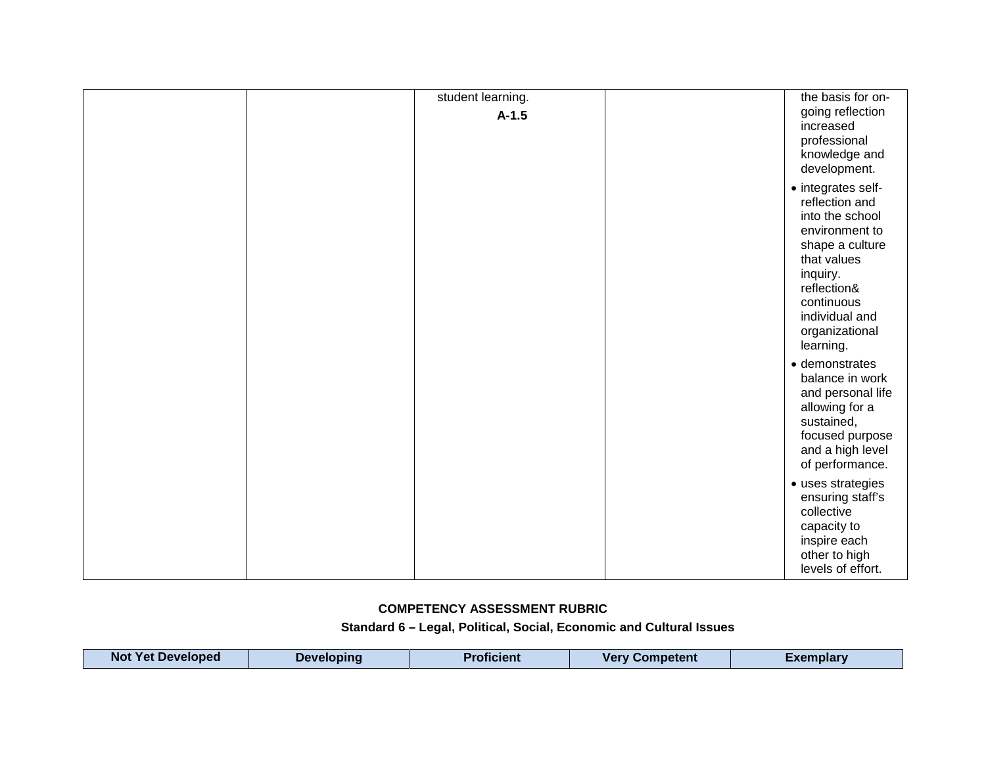| student learning. | the basis for on-                                                                                                                                                                                     |
|-------------------|-------------------------------------------------------------------------------------------------------------------------------------------------------------------------------------------------------|
| $A-1.5$           | going reflection<br>increased<br>professional<br>knowledge and<br>development.                                                                                                                        |
|                   | • integrates self-<br>reflection and<br>into the school<br>environment to<br>shape a culture<br>that values<br>inquiry.<br>reflection&<br>continuous<br>individual and<br>organizational<br>learning. |
|                   | · demonstrates<br>balance in work<br>and personal life<br>allowing for a<br>sustained,<br>focused purpose<br>and a high level<br>of performance.                                                      |
|                   | • uses strategies<br>ensuring staff's<br>collective<br>capacity to<br>inspire each<br>other to high<br>levels of effort.                                                                              |

#### **COMPETENCY ASSESSMENT RUBRIC**

#### **Standard 6 – Legal, Political, Social, Economic and Cultural Issues**

| <b>Not Yet Developed</b><br><b>Proficient</b><br><b>Very Competent</b><br><b>Developing</b><br>Exemplarv |  |
|----------------------------------------------------------------------------------------------------------|--|
|----------------------------------------------------------------------------------------------------------|--|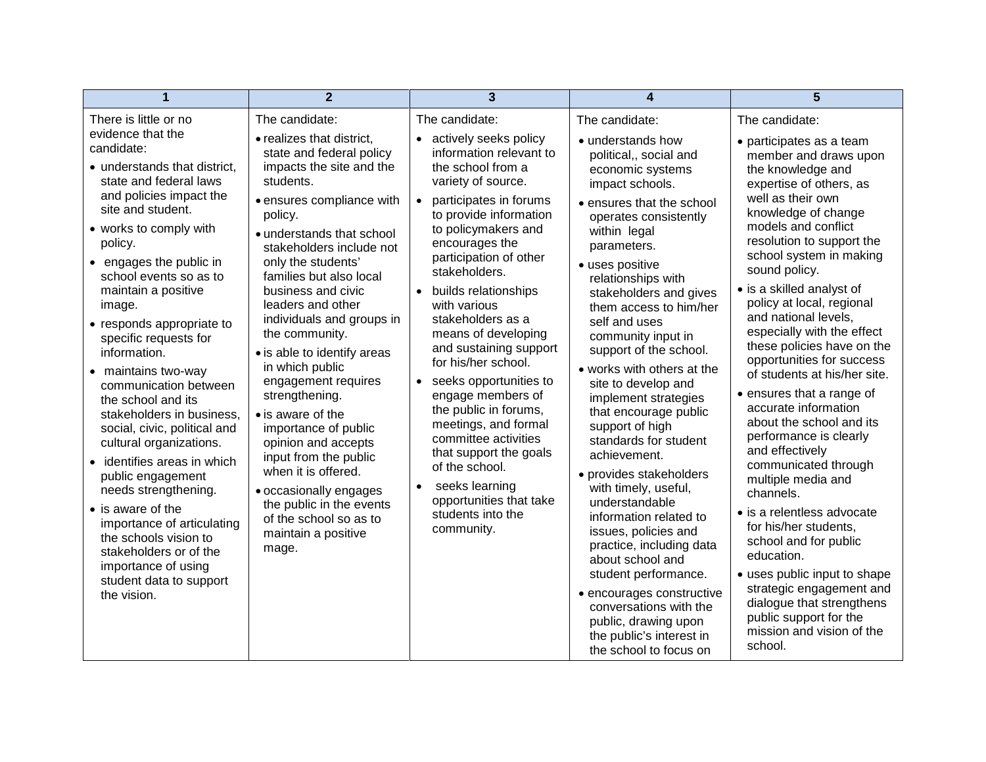| 1                                                                                                                                                                                                                                    | $\overline{2}$                                                                                                                                                                                                                        | $\overline{3}$                                                                                                                                                                                                                                                 | 4                                                                                                                                                                                                                                                           | 5                                                                                                                                                                                                                                                     |
|--------------------------------------------------------------------------------------------------------------------------------------------------------------------------------------------------------------------------------------|---------------------------------------------------------------------------------------------------------------------------------------------------------------------------------------------------------------------------------------|----------------------------------------------------------------------------------------------------------------------------------------------------------------------------------------------------------------------------------------------------------------|-------------------------------------------------------------------------------------------------------------------------------------------------------------------------------------------------------------------------------------------------------------|-------------------------------------------------------------------------------------------------------------------------------------------------------------------------------------------------------------------------------------------------------|
| There is little or no                                                                                                                                                                                                                | The candidate:                                                                                                                                                                                                                        | The candidate:                                                                                                                                                                                                                                                 | The candidate:                                                                                                                                                                                                                                              | The candidate:                                                                                                                                                                                                                                        |
| evidence that the<br>candidate:<br>• understands that district,<br>state and federal laws<br>and policies impact the<br>site and student.                                                                                            | • realizes that district,<br>state and federal policy<br>impacts the site and the<br>students.<br>· ensures compliance with<br>policy.                                                                                                | • actively seeks policy<br>information relevant to<br>the school from a<br>variety of source.<br>participates in forums<br>$\bullet$<br>to provide information                                                                                                 | • understands how<br>political,, social and<br>economic systems<br>impact schools.<br>• ensures that the school<br>operates consistently                                                                                                                    | • participates as a team<br>member and draws upon<br>the knowledge and<br>expertise of others, as<br>well as their own<br>knowledge of change<br>models and conflict                                                                                  |
| • works to comply with<br>policy.<br>• engages the public in<br>school events so as to<br>maintain a positive                                                                                                                        | · understands that school<br>stakeholders include not<br>only the students'<br>families but also local<br>business and civic                                                                                                          | to policymakers and<br>encourages the<br>participation of other<br>stakeholders.<br>builds relationships<br>$\bullet$                                                                                                                                          | within legal<br>parameters.<br>• uses positive<br>relationships with<br>stakeholders and gives                                                                                                                                                              | resolution to support the<br>school system in making<br>sound policy.<br>• is a skilled analyst of                                                                                                                                                    |
| image.<br>• responds appropriate to<br>specific requests for<br>information.                                                                                                                                                         | leaders and other<br>individuals and groups in<br>the community.                                                                                                                                                                      | with various<br>stakeholders as a<br>means of developing<br>and sustaining support                                                                                                                                                                             | them access to him/her<br>self and uses<br>community input in<br>support of the school.                                                                                                                                                                     | policy at local, regional<br>and national levels,<br>especially with the effect<br>these policies have on the                                                                                                                                         |
| • maintains two-way<br>communication between<br>the school and its<br>stakeholders in business,<br>social, civic, political and<br>cultural organizations.<br>identifies areas in which<br>public engagement<br>needs strengthening. | • is able to identify areas<br>in which public<br>engagement requires<br>strengthening.<br>• is aware of the<br>importance of public<br>opinion and accepts<br>input from the public<br>when it is offered.<br>· occasionally engages | for his/her school.<br>seeks opportunities to<br>$\bullet$<br>engage members of<br>the public in forums,<br>meetings, and formal<br>committee activities<br>that support the goals<br>of the school.<br>seeks learning<br>$\bullet$<br>opportunities that take | • works with others at the<br>site to develop and<br>implement strategies<br>that encourage public<br>support of high<br>standards for student<br>achievement.<br>• provides stakeholders<br>with timely, useful,<br>understandable                         | opportunities for success<br>of students at his/her site.<br>• ensures that a range of<br>accurate information<br>about the school and its<br>performance is clearly<br>and effectively<br>communicated through<br>multiple media and<br>channels.    |
| $\bullet$ is aware of the<br>importance of articulating<br>the schools vision to<br>stakeholders or of the<br>importance of using<br>student data to support<br>the vision.                                                          | the public in the events<br>of the school so as to<br>maintain a positive<br>mage.                                                                                                                                                    | students into the<br>community.                                                                                                                                                                                                                                | information related to<br>issues, policies and<br>practice, including data<br>about school and<br>student performance.<br>• encourages constructive<br>conversations with the<br>public, drawing upon<br>the public's interest in<br>the school to focus on | • is a relentless advocate<br>for his/her students,<br>school and for public<br>education.<br>• uses public input to shape<br>strategic engagement and<br>dialogue that strengthens<br>public support for the<br>mission and vision of the<br>school. |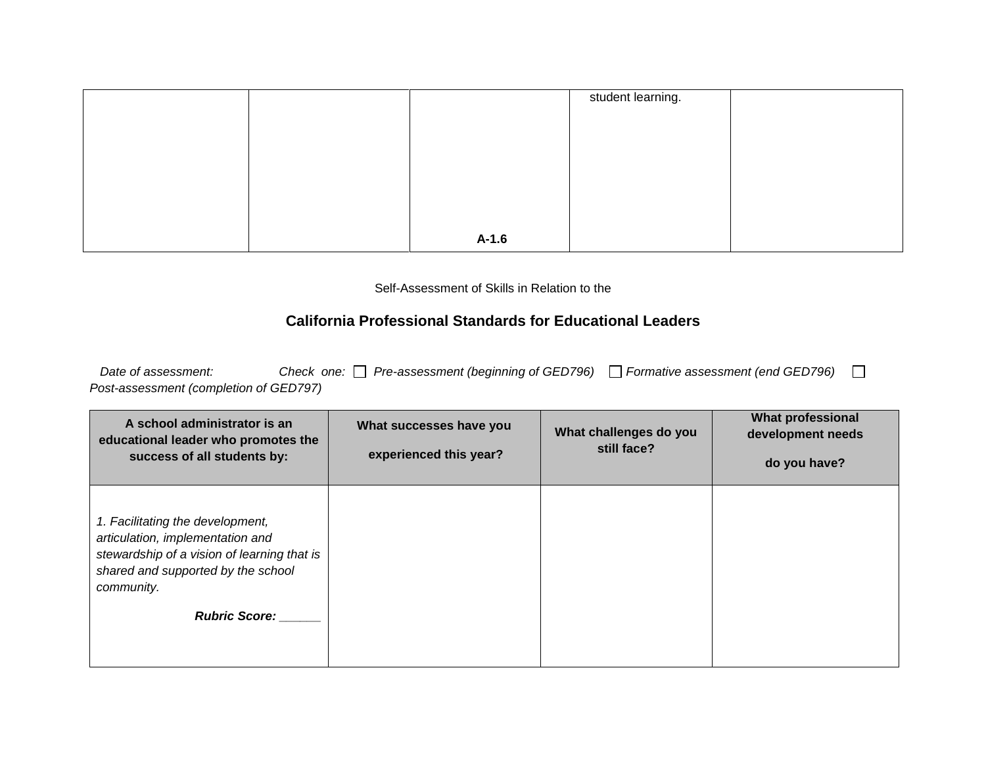|  |         | student learning. |  |
|--|---------|-------------------|--|
|  |         |                   |  |
|  |         |                   |  |
|  |         |                   |  |
|  |         |                   |  |
|  |         |                   |  |
|  |         |                   |  |
|  |         |                   |  |
|  | $A-1.6$ |                   |  |

Self-Assessment of Skills in Relation to the

## **California Professional Standards for Educational Leaders**

| Date of assessment:                    |  | Check one: □ Pre-assessment (beginning of GED796) □ Formative assessment (end GED796) |  |
|----------------------------------------|--|---------------------------------------------------------------------------------------|--|
| Post-assessment (completion of GED797) |  |                                                                                       |  |

| A school administrator is an<br>educational leader who promotes the<br>success of all students by:                                                                                              | What successes have you<br>experienced this year? | What challenges do you<br>still face? | <b>What professional</b><br>development needs<br>do you have? |
|-------------------------------------------------------------------------------------------------------------------------------------------------------------------------------------------------|---------------------------------------------------|---------------------------------------|---------------------------------------------------------------|
| 1. Facilitating the development,<br>articulation, implementation and<br>stewardship of a vision of learning that is<br>shared and supported by the school<br>community.<br><b>Rubric Score:</b> |                                                   |                                       |                                                               |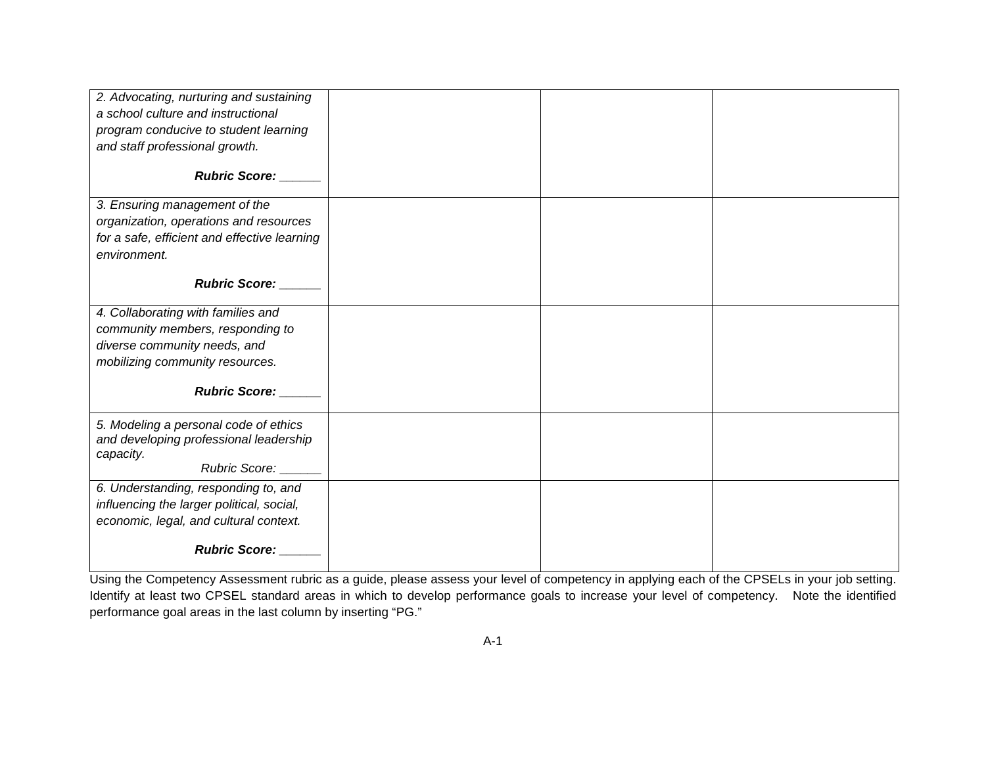| 2. Advocating, nurturing and sustaining      |  |  |
|----------------------------------------------|--|--|
| a school culture and instructional           |  |  |
| program conducive to student learning        |  |  |
| and staff professional growth.               |  |  |
|                                              |  |  |
| <b>Rubric Score:</b>                         |  |  |
| 3. Ensuring management of the                |  |  |
| organization, operations and resources       |  |  |
| for a safe, efficient and effective learning |  |  |
| environment.                                 |  |  |
|                                              |  |  |
| Rubric Score: ______                         |  |  |
|                                              |  |  |
| 4. Collaborating with families and           |  |  |
| community members, responding to             |  |  |
| diverse community needs, and                 |  |  |
| mobilizing community resources.              |  |  |
| Rubric Score: ____                           |  |  |
| 5. Modeling a personal code of ethics        |  |  |
| and developing professional leadership       |  |  |
| capacity.                                    |  |  |
| <b>Rubric Score:</b>                         |  |  |
| 6. Understanding, responding to, and         |  |  |
| influencing the larger political, social,    |  |  |
| economic, legal, and cultural context.       |  |  |
|                                              |  |  |
| <b>Rubric Score:</b>                         |  |  |

Using the Competency Assessment rubric as a guide, please assess your level of competency in applying each of the CPSELs in your job setting. Identify at least two CPSEL standard areas in which to develop performance goals to increase your level of competency. Note the identified performance goal areas in the last column by inserting "PG."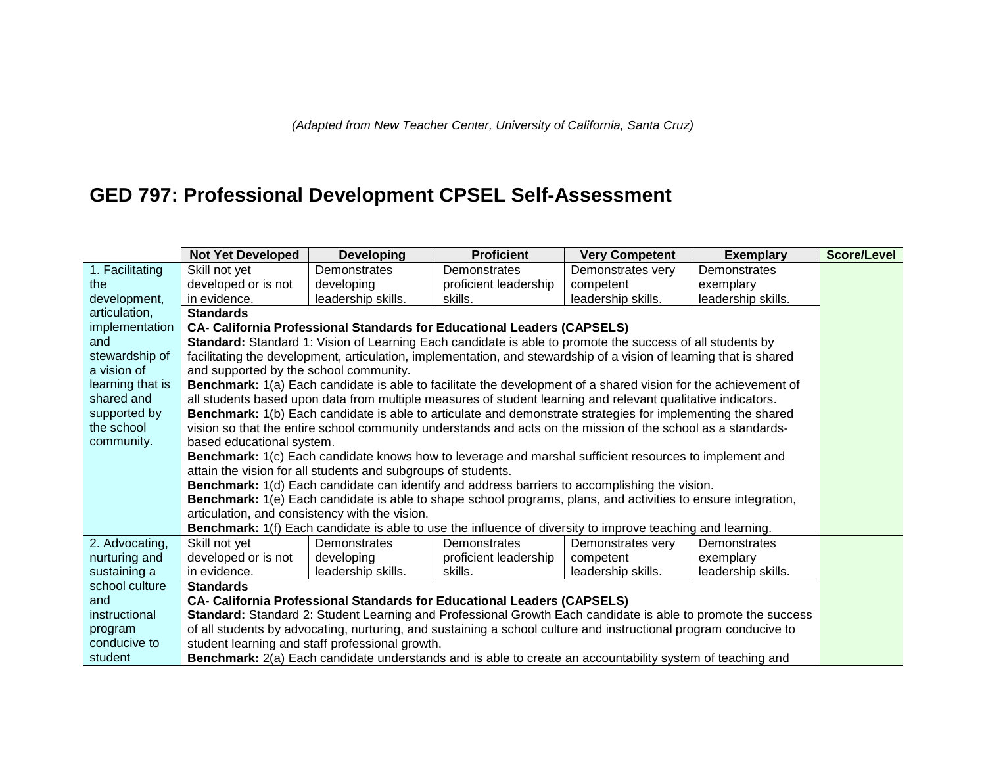# **GED 797: Professional Development CPSEL Self-Assessment**

|                  | <b>Not Yet Developed</b>                                                                                         | <b>Developing</b>                                                       | <b>Proficient</b>     | <b>Very Competent</b>                                                                                              | <b>Exemplary</b>   | <b>Score/Level</b> |  |  |
|------------------|------------------------------------------------------------------------------------------------------------------|-------------------------------------------------------------------------|-----------------------|--------------------------------------------------------------------------------------------------------------------|--------------------|--------------------|--|--|
| 1. Facilitating  | Skill not yet                                                                                                    | Demonstrates                                                            | Demonstrates          | Demonstrates very                                                                                                  | Demonstrates       |                    |  |  |
| the              | developed or is not                                                                                              | developing                                                              | proficient leadership | competent                                                                                                          | exemplary          |                    |  |  |
| development,     | in evidence.                                                                                                     | leadership skills.                                                      | skills.               | leadership skills.                                                                                                 | leadership skills. |                    |  |  |
| articulation,    | <b>Standards</b>                                                                                                 |                                                                         |                       |                                                                                                                    |                    |                    |  |  |
| implementation   |                                                                                                                  | CA- California Professional Standards for Educational Leaders (CAPSELS) |                       |                                                                                                                    |                    |                    |  |  |
| and              |                                                                                                                  |                                                                         |                       | Standard: Standard 1: Vision of Learning Each candidate is able to promote the success of all students by          |                    |                    |  |  |
| stewardship of   |                                                                                                                  |                                                                         |                       | facilitating the development, articulation, implementation, and stewardship of a vision of learning that is shared |                    |                    |  |  |
| a vision of      | and supported by the school community.                                                                           |                                                                         |                       |                                                                                                                    |                    |                    |  |  |
| learning that is |                                                                                                                  |                                                                         |                       | Benchmark: 1(a) Each candidate is able to facilitate the development of a shared vision for the achievement of     |                    |                    |  |  |
| shared and       |                                                                                                                  |                                                                         |                       | all students based upon data from multiple measures of student learning and relevant qualitative indicators.       |                    |                    |  |  |
| supported by     |                                                                                                                  |                                                                         |                       | Benchmark: 1(b) Each candidate is able to articulate and demonstrate strategies for implementing the shared        |                    |                    |  |  |
| the school       |                                                                                                                  |                                                                         |                       | vision so that the entire school community understands and acts on the mission of the school as a standards-       |                    |                    |  |  |
| community.       | based educational system.                                                                                        |                                                                         |                       |                                                                                                                    |                    |                    |  |  |
|                  |                                                                                                                  |                                                                         |                       | Benchmark: 1(c) Each candidate knows how to leverage and marshal sufficient resources to implement and             |                    |                    |  |  |
|                  |                                                                                                                  | attain the vision for all students and subgroups of students.           |                       |                                                                                                                    |                    |                    |  |  |
|                  |                                                                                                                  |                                                                         |                       | <b>Benchmark:</b> 1(d) Each candidate can identify and address barriers to accomplishing the vision.               |                    |                    |  |  |
|                  |                                                                                                                  |                                                                         |                       | Benchmark: 1(e) Each candidate is able to shape school programs, plans, and activities to ensure integration,      |                    |                    |  |  |
|                  | articulation, and consistency with the vision.                                                                   |                                                                         |                       |                                                                                                                    |                    |                    |  |  |
|                  |                                                                                                                  |                                                                         |                       | <b>Benchmark:</b> 1(f) Each candidate is able to use the influence of diversity to improve teaching and learning.  |                    |                    |  |  |
| 2. Advocating,   | Skill not yet                                                                                                    | Demonstrates                                                            | Demonstrates          | Demonstrates very                                                                                                  | Demonstrates       |                    |  |  |
| nurturing and    | developed or is not                                                                                              | developing                                                              | proficient leadership | competent                                                                                                          | exemplary          |                    |  |  |
| sustaining a     | in evidence.                                                                                                     | leadership skills.                                                      | skills.               | leadership skills.                                                                                                 | leadership skills. |                    |  |  |
| school culture   | <b>Standards</b>                                                                                                 |                                                                         |                       |                                                                                                                    |                    |                    |  |  |
| and              | CA- California Professional Standards for Educational Leaders (CAPSELS)                                          |                                                                         |                       |                                                                                                                    |                    |                    |  |  |
| instructional    |                                                                                                                  |                                                                         |                       | Standard: Standard 2: Student Learning and Professional Growth Each candidate is able to promote the success       |                    |                    |  |  |
| program          | of all students by advocating, nurturing, and sustaining a school culture and instructional program conducive to |                                                                         |                       |                                                                                                                    |                    |                    |  |  |
| conducive to     |                                                                                                                  | student learning and staff professional growth.                         |                       |                                                                                                                    |                    |                    |  |  |
| student          |                                                                                                                  |                                                                         |                       | Benchmark: 2(a) Each candidate understands and is able to create an accountability system of teaching and          |                    |                    |  |  |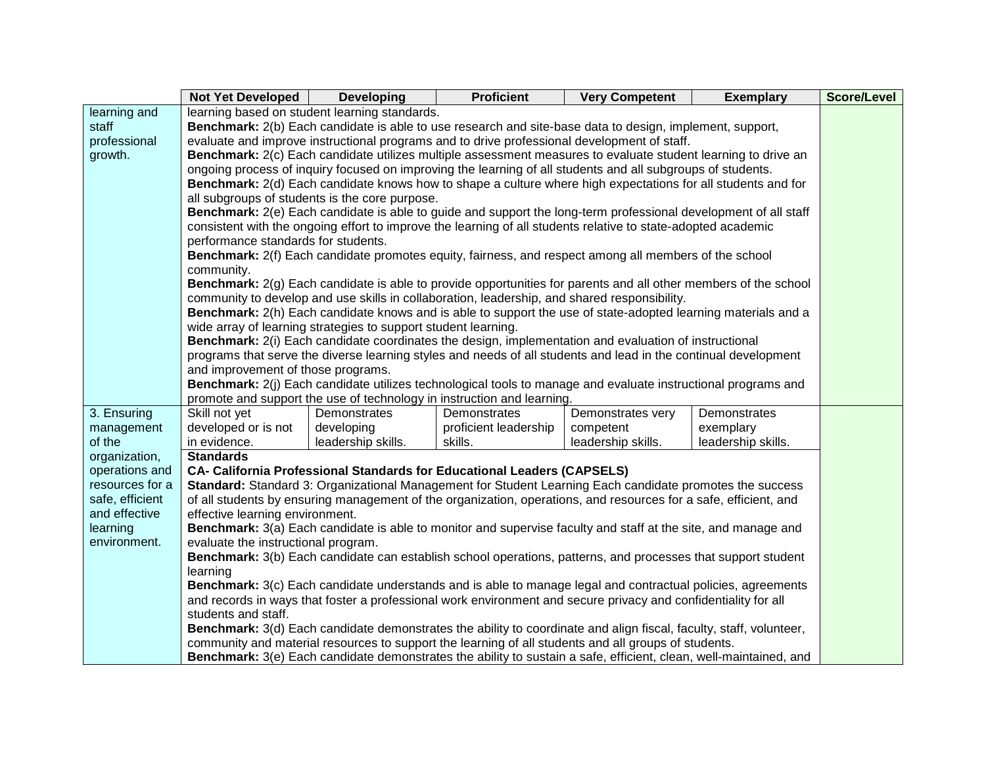|                 | Not Yet Developed                                                                                            | <b>Developing</b>                                              | <b>Proficient</b>                                                                                                      | <b>Very Competent</b> | <b>Exemplary</b>   | <b>Score/Level</b> |  |
|-----------------|--------------------------------------------------------------------------------------------------------------|----------------------------------------------------------------|------------------------------------------------------------------------------------------------------------------------|-----------------------|--------------------|--------------------|--|
| learning and    |                                                                                                              | learning based on student learning standards.                  |                                                                                                                        |                       |                    |                    |  |
| staff           |                                                                                                              |                                                                | Benchmark: 2(b) Each candidate is able to use research and site-base data to design, implement, support,               |                       |                    |                    |  |
| professional    |                                                                                                              |                                                                | evaluate and improve instructional programs and to drive professional development of staff.                            |                       |                    |                    |  |
| growth.         |                                                                                                              |                                                                | Benchmark: 2(c) Each candidate utilizes multiple assessment measures to evaluate student learning to drive an          |                       |                    |                    |  |
|                 |                                                                                                              |                                                                | ongoing process of inquiry focused on improving the learning of all students and all subgroups of students.            |                       |                    |                    |  |
|                 | Benchmark: 2(d) Each candidate knows how to shape a culture where high expectations for all students and for |                                                                |                                                                                                                        |                       |                    |                    |  |
|                 |                                                                                                              | all subgroups of students is the core purpose.                 |                                                                                                                        |                       |                    |                    |  |
|                 |                                                                                                              |                                                                | Benchmark: 2(e) Each candidate is able to guide and support the long-term professional development of all staff        |                       |                    |                    |  |
|                 |                                                                                                              |                                                                | consistent with the ongoing effort to improve the learning of all students relative to state-adopted academic          |                       |                    |                    |  |
|                 | performance standards for students.                                                                          |                                                                |                                                                                                                        |                       |                    |                    |  |
|                 |                                                                                                              |                                                                | Benchmark: 2(f) Each candidate promotes equity, fairness, and respect among all members of the school                  |                       |                    |                    |  |
|                 | community.                                                                                                   |                                                                |                                                                                                                        |                       |                    |                    |  |
|                 |                                                                                                              |                                                                | <b>Benchmark:</b> 2(g) Each candidate is able to provide opportunities for parents and all other members of the school |                       |                    |                    |  |
|                 |                                                                                                              |                                                                | community to develop and use skills in collaboration, leadership, and shared responsibility.                           |                       |                    |                    |  |
|                 |                                                                                                              |                                                                | Benchmark: 2(h) Each candidate knows and is able to support the use of state-adopted learning materials and a          |                       |                    |                    |  |
|                 |                                                                                                              | wide array of learning strategies to support student learning. |                                                                                                                        |                       |                    |                    |  |
|                 |                                                                                                              |                                                                | Benchmark: 2(i) Each candidate coordinates the design, implementation and evaluation of instructional                  |                       |                    |                    |  |
|                 |                                                                                                              |                                                                | programs that serve the diverse learning styles and needs of all students and lead in the continual development        |                       |                    |                    |  |
|                 | and improvement of those programs.                                                                           |                                                                |                                                                                                                        |                       |                    |                    |  |
|                 |                                                                                                              |                                                                | Benchmark: 2(j) Each candidate utilizes technological tools to manage and evaluate instructional programs and          |                       |                    |                    |  |
|                 |                                                                                                              |                                                                | promote and support the use of technology in instruction and learning.                                                 |                       |                    |                    |  |
| 3. Ensuring     | Skill not yet                                                                                                | Demonstrates                                                   | Demonstrates                                                                                                           | Demonstrates very     | Demonstrates       |                    |  |
| management      | developed or is not                                                                                          | developing                                                     | proficient leadership                                                                                                  | competent             | exemplary          |                    |  |
| of the          | in evidence.                                                                                                 | leadership skills.                                             | skills.                                                                                                                | leadership skills.    | leadership skills. |                    |  |
| organization,   | <b>Standards</b>                                                                                             |                                                                |                                                                                                                        |                       |                    |                    |  |
| operations and  |                                                                                                              |                                                                | <b>CA- California Professional Standards for Educational Leaders (CAPSELS)</b>                                         |                       |                    |                    |  |
| resources for a |                                                                                                              |                                                                | Standard: Standard 3: Organizational Management for Student Learning Each candidate promotes the success               |                       |                    |                    |  |
| safe, efficient |                                                                                                              |                                                                | of all students by ensuring management of the organization, operations, and resources for a safe, efficient, and       |                       |                    |                    |  |
| and effective   | effective learning environment.                                                                              |                                                                |                                                                                                                        |                       |                    |                    |  |
| learning        |                                                                                                              |                                                                | Benchmark: 3(a) Each candidate is able to monitor and supervise faculty and staff at the site, and manage and          |                       |                    |                    |  |
| environment.    | evaluate the instructional program.                                                                          |                                                                |                                                                                                                        |                       |                    |                    |  |
|                 |                                                                                                              |                                                                | Benchmark: 3(b) Each candidate can establish school operations, patterns, and processes that support student           |                       |                    |                    |  |
|                 | learning                                                                                                     |                                                                |                                                                                                                        |                       |                    |                    |  |
|                 |                                                                                                              |                                                                | Benchmark: 3(c) Each candidate understands and is able to manage legal and contractual policies, agreements            |                       |                    |                    |  |
|                 | students and staff.                                                                                          |                                                                | and records in ways that foster a professional work environment and secure privacy and confidentiality for all         |                       |                    |                    |  |
|                 |                                                                                                              |                                                                | Benchmark: 3(d) Each candidate demonstrates the ability to coordinate and align fiscal, faculty, staff, volunteer,     |                       |                    |                    |  |
|                 |                                                                                                              |                                                                | community and material resources to support the learning of all students and all groups of students.                   |                       |                    |                    |  |
|                 |                                                                                                              |                                                                | Benchmark: 3(e) Each candidate demonstrates the ability to sustain a safe, efficient, clean, well-maintained, and      |                       |                    |                    |  |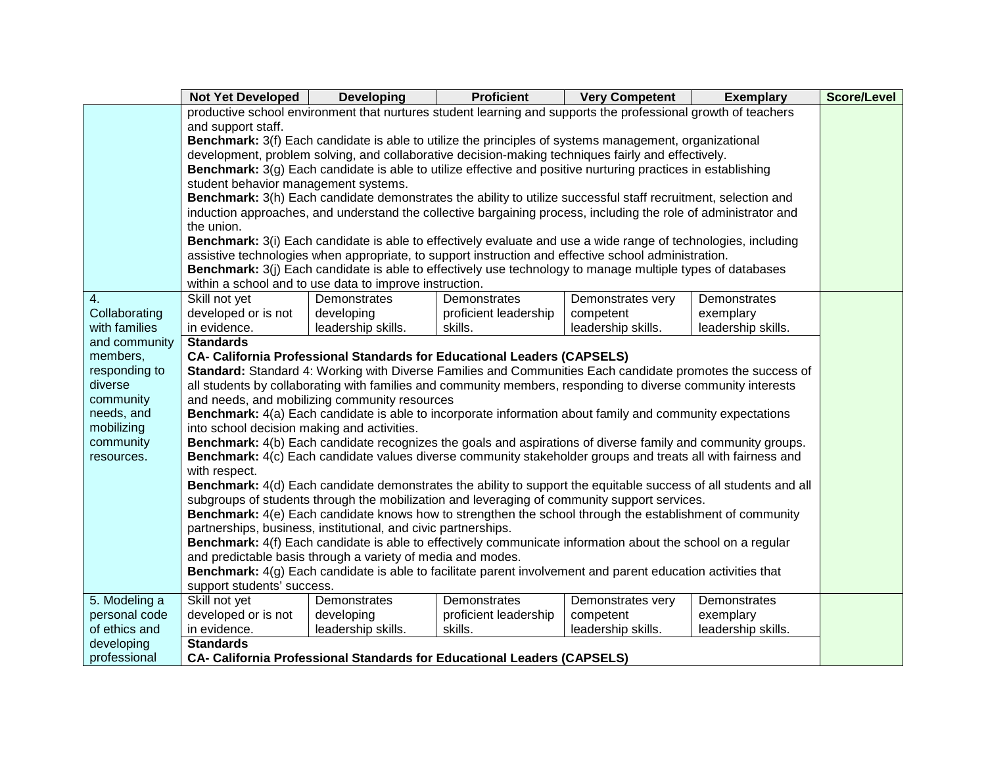|               | <b>Not Yet Developed</b>                    | <b>Developing</b>                                              | <b>Proficient</b>                                                                                                   | <b>Very Competent</b> | <b>Exemplary</b>   | <b>Score/Level</b> |
|---------------|---------------------------------------------|----------------------------------------------------------------|---------------------------------------------------------------------------------------------------------------------|-----------------------|--------------------|--------------------|
|               |                                             |                                                                | productive school environment that nurtures student learning and supports the professional growth of teachers       |                       |                    |                    |
|               | and support staff.                          |                                                                |                                                                                                                     |                       |                    |                    |
|               |                                             |                                                                | Benchmark: 3(f) Each candidate is able to utilize the principles of systems management, organizational              |                       |                    |                    |
|               |                                             |                                                                | development, problem solving, and collaborative decision-making techniques fairly and effectively.                  |                       |                    |                    |
|               |                                             |                                                                | <b>Benchmark:</b> 3(g) Each candidate is able to utilize effective and positive nurturing practices in establishing |                       |                    |                    |
|               | student behavior management systems.        |                                                                |                                                                                                                     |                       |                    |                    |
|               |                                             |                                                                | Benchmark: 3(h) Each candidate demonstrates the ability to utilize successful staff recruitment, selection and      |                       |                    |                    |
|               |                                             |                                                                | induction approaches, and understand the collective bargaining process, including the role of administrator and     |                       |                    |                    |
|               | the union.                                  |                                                                |                                                                                                                     |                       |                    |                    |
|               |                                             |                                                                | Benchmark: 3(i) Each candidate is able to effectively evaluate and use a wide range of technologies, including      |                       |                    |                    |
|               |                                             |                                                                | assistive technologies when appropriate, to support instruction and effective school administration.                |                       |                    |                    |
|               |                                             |                                                                | Benchmark: 3(j) Each candidate is able to effectively use technology to manage multiple types of databases          |                       |                    |                    |
|               |                                             | within a school and to use data to improve instruction.        |                                                                                                                     |                       |                    |                    |
| 4.            | Skill not yet                               | Demonstrates                                                   | Demonstrates                                                                                                        | Demonstrates very     | Demonstrates       |                    |
| Collaborating | developed or is not                         | developing                                                     | proficient leadership                                                                                               | competent             | exemplary          |                    |
| with families | in evidence.                                | leadership skills.                                             | skills.                                                                                                             | leadership skills.    | leadership skills. |                    |
| and community | <b>Standards</b>                            |                                                                |                                                                                                                     |                       |                    |                    |
| members,      |                                             |                                                                | <b>CA- California Professional Standards for Educational Leaders (CAPSELS)</b>                                      |                       |                    |                    |
| responding to |                                             |                                                                | Standard: Standard 4: Working with Diverse Families and Communities Each candidate promotes the success of          |                       |                    |                    |
| diverse       |                                             |                                                                | all students by collaborating with families and community members, responding to diverse community interests        |                       |                    |                    |
| community     |                                             | and needs, and mobilizing community resources                  |                                                                                                                     |                       |                    |                    |
| needs, and    |                                             |                                                                | Benchmark: 4(a) Each candidate is able to incorporate information about family and community expectations           |                       |                    |                    |
| mobilizing    | into school decision making and activities. |                                                                |                                                                                                                     |                       |                    |                    |
| community     |                                             |                                                                | <b>Benchmark:</b> 4(b) Each candidate recognizes the goals and aspirations of diverse family and community groups.  |                       |                    |                    |
| resources.    | with respect.                               |                                                                | Benchmark: 4(c) Each candidate values diverse community stakeholder groups and treats all with fairness and         |                       |                    |                    |
|               |                                             |                                                                | Benchmark: 4(d) Each candidate demonstrates the ability to support the equitable success of all students and all    |                       |                    |                    |
|               |                                             |                                                                | subgroups of students through the mobilization and leveraging of community support services.                        |                       |                    |                    |
|               |                                             |                                                                | Benchmark: 4(e) Each candidate knows how to strengthen the school through the establishment of community            |                       |                    |                    |
|               |                                             | partnerships, business, institutional, and civic partnerships. |                                                                                                                     |                       |                    |                    |
|               |                                             |                                                                | Benchmark: 4(f) Each candidate is able to effectively communicate information about the school on a regular         |                       |                    |                    |
|               |                                             | and predictable basis through a variety of media and modes.    |                                                                                                                     |                       |                    |                    |
|               |                                             |                                                                | Benchmark: 4(g) Each candidate is able to facilitate parent involvement and parent education activities that        |                       |                    |                    |
|               | support students' success.                  |                                                                |                                                                                                                     |                       |                    |                    |
| 5. Modeling a | Skill not yet                               | Demonstrates                                                   | Demonstrates                                                                                                        | Demonstrates very     | Demonstrates       |                    |
| personal code | developed or is not                         | developing                                                     | proficient leadership                                                                                               | competent             | exemplary          |                    |
| of ethics and | in evidence.                                | leadership skills.                                             | skills.                                                                                                             | leadership skills.    | leadership skills. |                    |
| developing    | <b>Standards</b>                            |                                                                |                                                                                                                     |                       |                    |                    |
| professional  |                                             |                                                                | <b>CA- California Professional Standards for Educational Leaders (CAPSELS)</b>                                      |                       |                    |                    |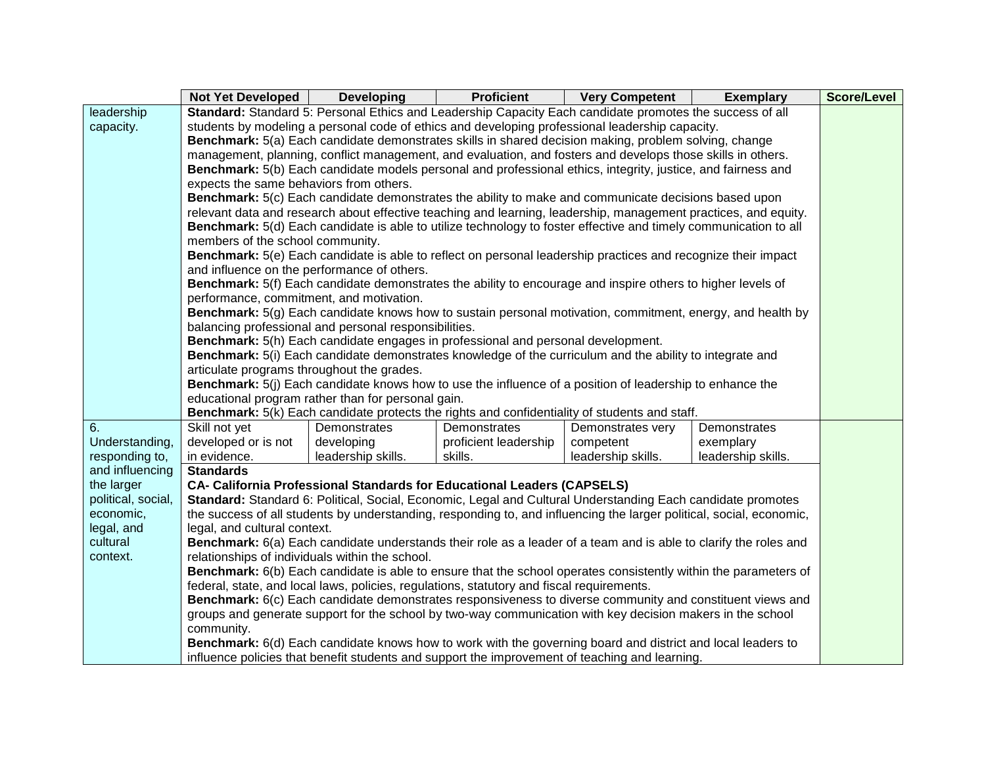|                                   | Not Yet Developed                                                                                            | <b>Developing</b>                                     | <b>Proficient</b>                                                                                                    | <b>Very Competent</b>          | <b>Exemplary</b>   | <b>Score/Level</b> |  |
|-----------------------------------|--------------------------------------------------------------------------------------------------------------|-------------------------------------------------------|----------------------------------------------------------------------------------------------------------------------|--------------------------------|--------------------|--------------------|--|
| leadership                        |                                                                                                              |                                                       | Standard: Standard 5: Personal Ethics and Leadership Capacity Each candidate promotes the success of all             |                                |                    |                    |  |
| capacity.                         | students by modeling a personal code of ethics and developing professional leadership capacity.              |                                                       |                                                                                                                      |                                |                    |                    |  |
|                                   |                                                                                                              |                                                       | Benchmark: 5(a) Each candidate demonstrates skills in shared decision making, problem solving, change                |                                |                    |                    |  |
|                                   | management, planning, conflict management, and evaluation, and fosters and develops those skills in others.  |                                                       |                                                                                                                      |                                |                    |                    |  |
|                                   | Benchmark: 5(b) Each candidate models personal and professional ethics, integrity, justice, and fairness and |                                                       |                                                                                                                      |                                |                    |                    |  |
|                                   | expects the same behaviors from others.                                                                      |                                                       |                                                                                                                      |                                |                    |                    |  |
|                                   |                                                                                                              |                                                       | Benchmark: 5(c) Each candidate demonstrates the ability to make and communicate decisions based upon                 |                                |                    |                    |  |
|                                   |                                                                                                              |                                                       | relevant data and research about effective teaching and learning, leadership, management practices, and equity.      |                                |                    |                    |  |
|                                   |                                                                                                              |                                                       | Benchmark: 5(d) Each candidate is able to utilize technology to foster effective and timely communication to all     |                                |                    |                    |  |
|                                   | members of the school community.                                                                             |                                                       |                                                                                                                      |                                |                    |                    |  |
|                                   |                                                                                                              |                                                       | Benchmark: 5(e) Each candidate is able to reflect on personal leadership practices and recognize their impact        |                                |                    |                    |  |
|                                   |                                                                                                              | and influence on the performance of others.           |                                                                                                                      |                                |                    |                    |  |
|                                   |                                                                                                              |                                                       | Benchmark: 5(f) Each candidate demonstrates the ability to encourage and inspire others to higher levels of          |                                |                    |                    |  |
|                                   | performance, commitment, and motivation.                                                                     |                                                       |                                                                                                                      |                                |                    |                    |  |
|                                   |                                                                                                              |                                                       | Benchmark: 5(g) Each candidate knows how to sustain personal motivation, commitment, energy, and health by           |                                |                    |                    |  |
|                                   |                                                                                                              | balancing professional and personal responsibilities. |                                                                                                                      |                                |                    |                    |  |
|                                   |                                                                                                              |                                                       | Benchmark: 5(h) Each candidate engages in professional and personal development.                                     |                                |                    |                    |  |
|                                   |                                                                                                              |                                                       | Benchmark: 5(i) Each candidate demonstrates knowledge of the curriculum and the ability to integrate and             |                                |                    |                    |  |
|                                   | articulate programs throughout the grades.                                                                   |                                                       |                                                                                                                      |                                |                    |                    |  |
|                                   |                                                                                                              |                                                       | <b>Benchmark:</b> 5(j) Each candidate knows how to use the influence of a position of leadership to enhance the      |                                |                    |                    |  |
|                                   |                                                                                                              | educational program rather than for personal gain.    |                                                                                                                      |                                |                    |                    |  |
| 6.                                | Skill not yet                                                                                                | Demonstrates                                          | Benchmark: 5(k) Each candidate protects the rights and confidentiality of students and staff.<br>Demonstrates        |                                | Demonstrates       |                    |  |
| Understanding,                    | developed or is not                                                                                          | developing                                            | proficient leadership                                                                                                | Demonstrates very<br>competent | exemplary          |                    |  |
|                                   | in evidence.                                                                                                 |                                                       | skills.                                                                                                              |                                |                    |                    |  |
| responding to,<br>and influencing | <b>Standards</b>                                                                                             | leadership skills.                                    |                                                                                                                      | leadership skills.             | leadership skills. |                    |  |
| the larger                        |                                                                                                              |                                                       | <b>CA- California Professional Standards for Educational Leaders (CAPSELS)</b>                                       |                                |                    |                    |  |
| political, social,                |                                                                                                              |                                                       | Standard: Standard 6: Political, Social, Economic, Legal and Cultural Understanding Each candidate promotes          |                                |                    |                    |  |
| economic,                         |                                                                                                              |                                                       | the success of all students by understanding, responding to, and influencing the larger political, social, economic, |                                |                    |                    |  |
| legal, and                        | legal, and cultural context.                                                                                 |                                                       |                                                                                                                      |                                |                    |                    |  |
| cultural                          |                                                                                                              |                                                       | Benchmark: 6(a) Each candidate understands their role as a leader of a team and is able to clarify the roles and     |                                |                    |                    |  |
| context.                          |                                                                                                              | relationships of individuals within the school.       |                                                                                                                      |                                |                    |                    |  |
|                                   |                                                                                                              |                                                       | Benchmark: 6(b) Each candidate is able to ensure that the school operates consistently within the parameters of      |                                |                    |                    |  |
|                                   |                                                                                                              |                                                       | federal, state, and local laws, policies, regulations, statutory and fiscal requirements.                            |                                |                    |                    |  |
|                                   |                                                                                                              |                                                       | Benchmark: 6(c) Each candidate demonstrates responsiveness to diverse community and constituent views and            |                                |                    |                    |  |
|                                   |                                                                                                              |                                                       | groups and generate support for the school by two-way communication with key decision makers in the school           |                                |                    |                    |  |
|                                   | community.                                                                                                   |                                                       |                                                                                                                      |                                |                    |                    |  |
|                                   |                                                                                                              |                                                       | Benchmark: 6(d) Each candidate knows how to work with the governing board and district and local leaders to          |                                |                    |                    |  |
|                                   |                                                                                                              |                                                       | influence policies that benefit students and support the improvement of teaching and learning.                       |                                |                    |                    |  |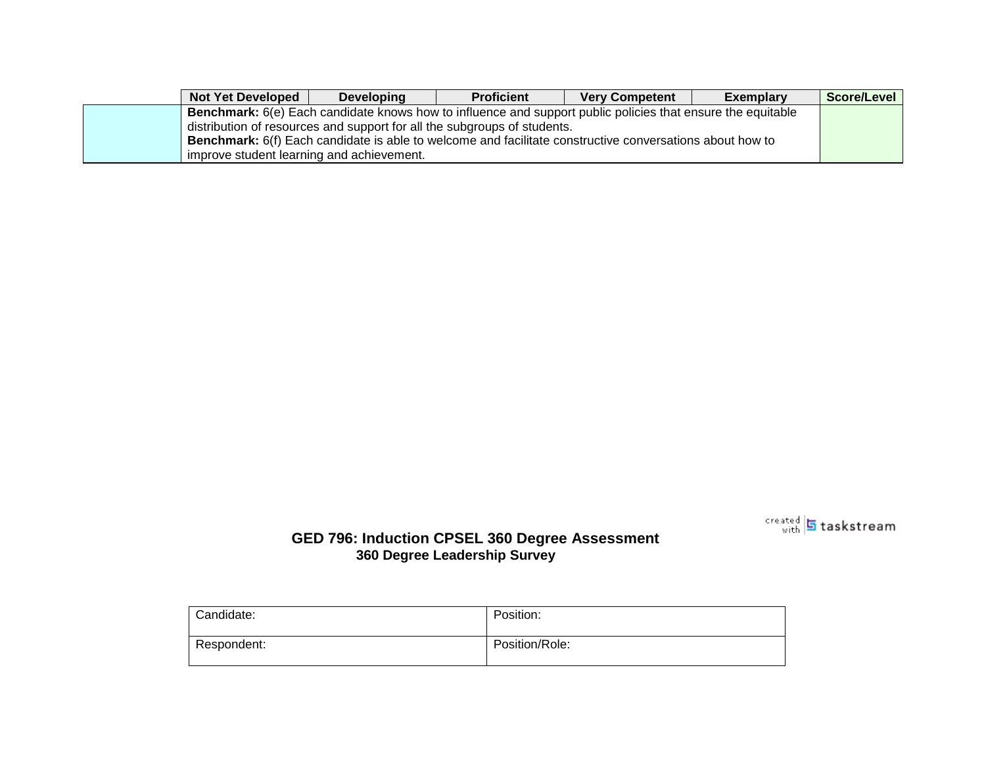| <b>Not Yet Developed</b>                  | <b>Developing</b> | <b>Proficient</b>                                                                                                  | <b>Very Competent</b> | <b>Exemplary</b> | Score/Level |
|-------------------------------------------|-------------------|--------------------------------------------------------------------------------------------------------------------|-----------------------|------------------|-------------|
|                                           |                   | <b>Benchmark:</b> 6(e) Each candidate knows how to influence and support public policies that ensure the equitable |                       |                  |             |
|                                           |                   | distribution of resources and support for all the subgroups of students.                                           |                       |                  |             |
|                                           |                   | <b>Benchmark:</b> 6(f) Each candidate is able to welcome and facilitate constructive conversations about how to    |                       |                  |             |
| improve student learning and achievement. |                   |                                                                                                                    |                       |                  |             |



#### **GED 796: Induction CPSEL 360 Degree Assessment 360 Degree Leadership Survey**

| Candidate:  | Position:      |
|-------------|----------------|
| Respondent: | Position/Role: |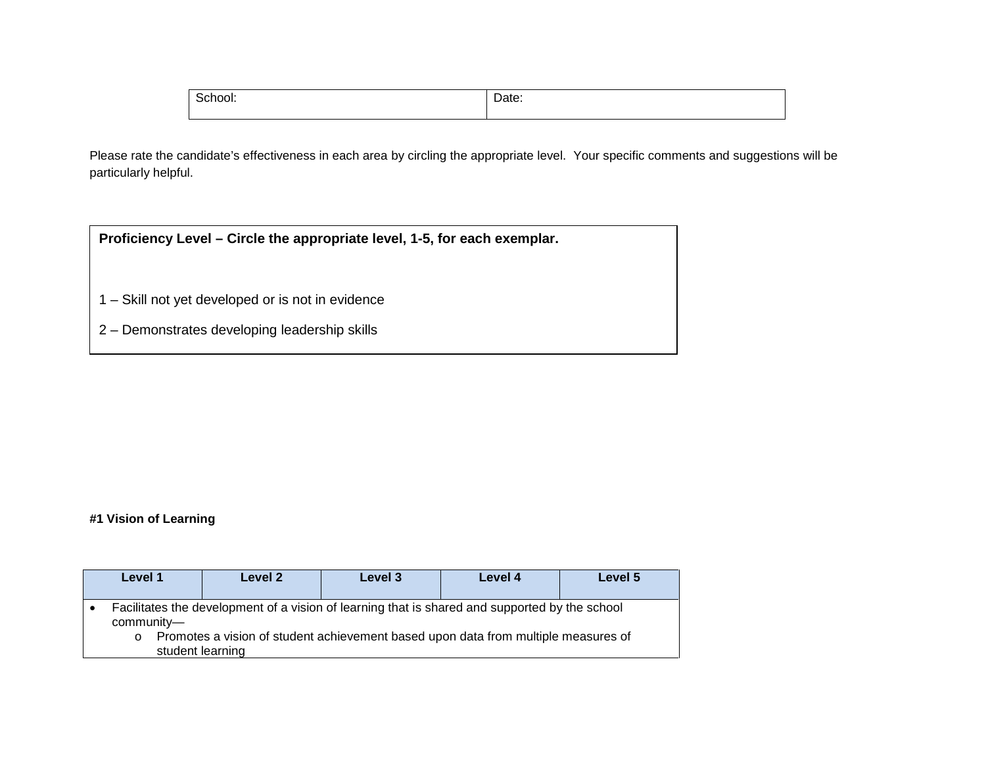| SCNOOL. | <br>. .<br>. |
|---------|--------------|
|         |              |

Please rate the candidate's effectiveness in each area by circling the appropriate level. Your specific comments and suggestions will be particularly helpful.

| Proficiency Level – Circle the appropriate level, 1-5, for each exemplar. |  |  |  |  |
|---------------------------------------------------------------------------|--|--|--|--|
|                                                                           |  |  |  |  |
| 1 – Skill not yet developed or is not in evidence                         |  |  |  |  |
| 2 – Demonstrates developing leadership skills                             |  |  |  |  |

#### **#1 Vision of Learning**

| Level 1                                   | Level 2 | Level 3                                                                                                                                                                              | Level 4 | Level 5 |
|-------------------------------------------|---------|--------------------------------------------------------------------------------------------------------------------------------------------------------------------------------------|---------|---------|
| community-<br>$\circ$<br>student learning |         | Facilitates the development of a vision of learning that is shared and supported by the school<br>Promotes a vision of student achievement based upon data from multiple measures of |         |         |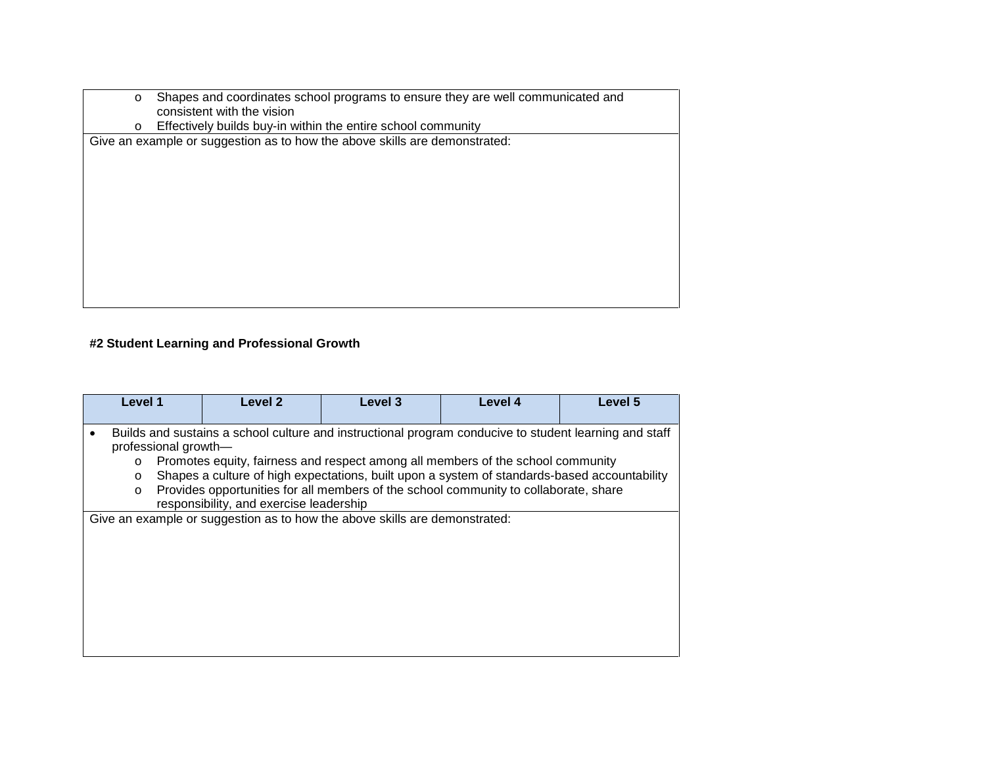- o Shapes and coordinates school programs to ensure they are well communicated and consistent with the vision
- o Effectively builds buy-in within the entire school community

Give an example or suggestion as to how the above skills are demonstrated:

#### **#2 Student Learning and Professional Growth**

| Level 1                                                                                                                             | Level 2                                                                                      | Level 3 | Level 4 | Level 5 |  |  |
|-------------------------------------------------------------------------------------------------------------------------------------|----------------------------------------------------------------------------------------------|---------|---------|---------|--|--|
|                                                                                                                                     |                                                                                              |         |         |         |  |  |
| Builds and sustains a school culture and instructional program conducive to student learning and staff<br>٠<br>professional growth- |                                                                                              |         |         |         |  |  |
| $\circ$                                                                                                                             | Promotes equity, fairness and respect among all members of the school community              |         |         |         |  |  |
| $\circ$                                                                                                                             | Shapes a culture of high expectations, built upon a system of standards-based accountability |         |         |         |  |  |
| $\circ$                                                                                                                             | Provides opportunities for all members of the school community to collaborate, share         |         |         |         |  |  |
|                                                                                                                                     | responsibility, and exercise leadership                                                      |         |         |         |  |  |
|                                                                                                                                     | Give an example or suggestion as to how the above skills are demonstrated:                   |         |         |         |  |  |
|                                                                                                                                     |                                                                                              |         |         |         |  |  |
|                                                                                                                                     |                                                                                              |         |         |         |  |  |
|                                                                                                                                     |                                                                                              |         |         |         |  |  |
|                                                                                                                                     |                                                                                              |         |         |         |  |  |
|                                                                                                                                     |                                                                                              |         |         |         |  |  |
|                                                                                                                                     |                                                                                              |         |         |         |  |  |
|                                                                                                                                     |                                                                                              |         |         |         |  |  |
|                                                                                                                                     |                                                                                              |         |         |         |  |  |
|                                                                                                                                     |                                                                                              |         |         |         |  |  |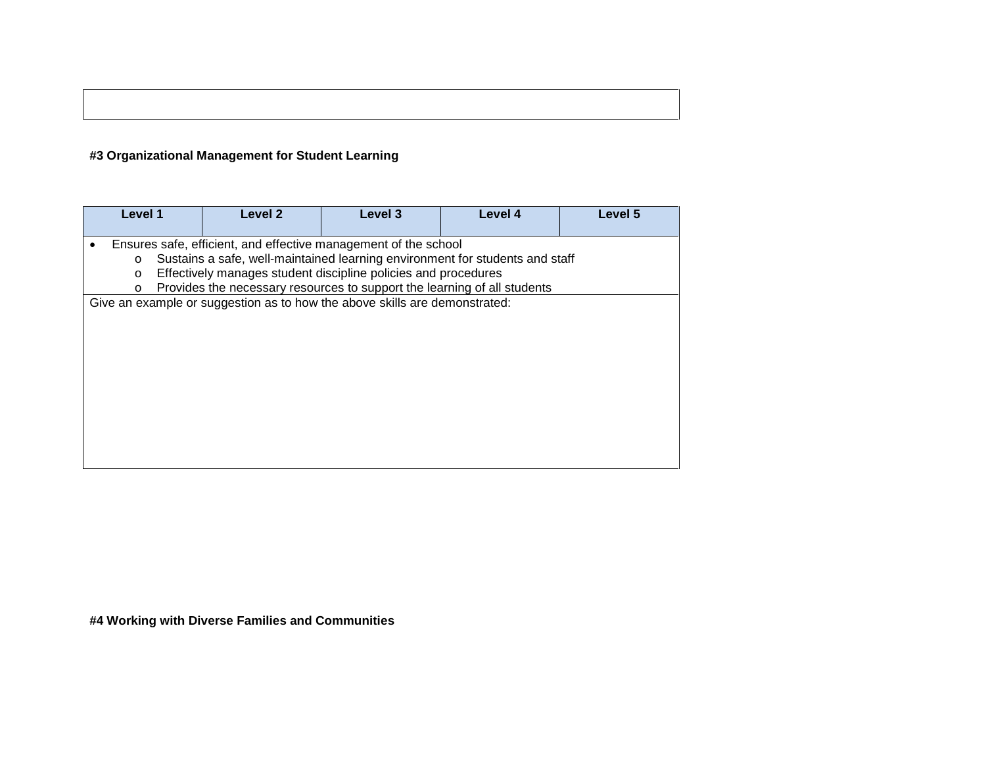#### **#3 Organizational Management for Student Learning**

| Level 1                       | Level 2                                                                                                                                                                                                                                                                                       | Level 3                                                                    | Level 4 | Level 5 |  |  |  |
|-------------------------------|-----------------------------------------------------------------------------------------------------------------------------------------------------------------------------------------------------------------------------------------------------------------------------------------------|----------------------------------------------------------------------------|---------|---------|--|--|--|
| $\circ$<br>$\circ$<br>$\circ$ | Ensures safe, efficient, and effective management of the school<br>Sustains a safe, well-maintained learning environment for students and staff<br>Effectively manages student discipline policies and procedures<br>Provides the necessary resources to support the learning of all students |                                                                            |         |         |  |  |  |
|                               |                                                                                                                                                                                                                                                                                               | Give an example or suggestion as to how the above skills are demonstrated: |         |         |  |  |  |
|                               |                                                                                                                                                                                                                                                                                               |                                                                            |         |         |  |  |  |

**#4 Working with Diverse Families and Communities**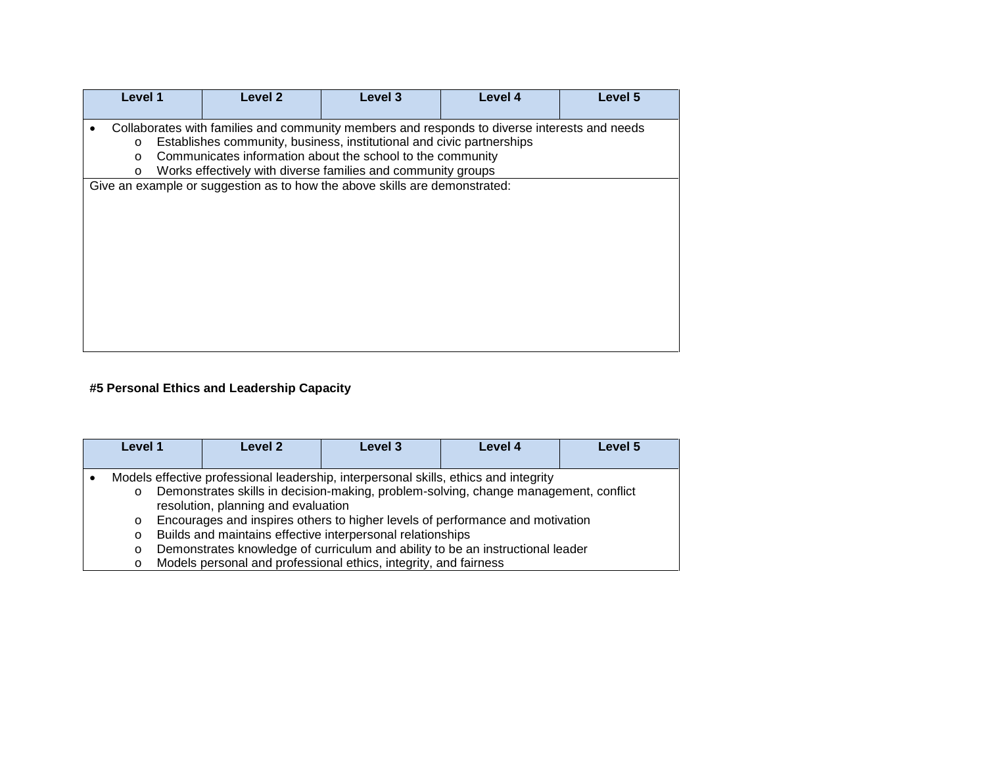| Level 1                                                                                                                                                                                                                                                                                                                               | Level 2                                                                    | Level 3 | Level 4 | Level 5 |  |
|---------------------------------------------------------------------------------------------------------------------------------------------------------------------------------------------------------------------------------------------------------------------------------------------------------------------------------------|----------------------------------------------------------------------------|---------|---------|---------|--|
| Collaborates with families and community members and responds to diverse interests and needs<br>Establishes community, business, institutional and civic partnerships<br>$\circ$<br>Communicates information about the school to the community<br>$\circ$<br>Works effectively with diverse families and community groups<br>$\Omega$ |                                                                            |         |         |         |  |
|                                                                                                                                                                                                                                                                                                                                       | Give an example or suggestion as to how the above skills are demonstrated: |         |         |         |  |

#### **#5 Personal Ethics and Leadership Capacity**

| Level 1                                  | Level 2                                                                                                                                                                                                                                                                                                                                                                                                                                                                                                                  | Level 3 | Level 4 | Level 5 |
|------------------------------------------|--------------------------------------------------------------------------------------------------------------------------------------------------------------------------------------------------------------------------------------------------------------------------------------------------------------------------------------------------------------------------------------------------------------------------------------------------------------------------------------------------------------------------|---------|---------|---------|
| $\circ$<br>$\circ$<br>$\circ$<br>$\circ$ | Models effective professional leadership, interpersonal skills, ethics and integrity<br>Demonstrates skills in decision-making, problem-solving, change management, conflict<br>resolution, planning and evaluation<br>Encourages and inspires others to higher levels of performance and motivation<br>Builds and maintains effective interpersonal relationships<br>Demonstrates knowledge of curriculum and ability to be an instructional leader<br>Models personal and professional ethics, integrity, and fairness |         |         |         |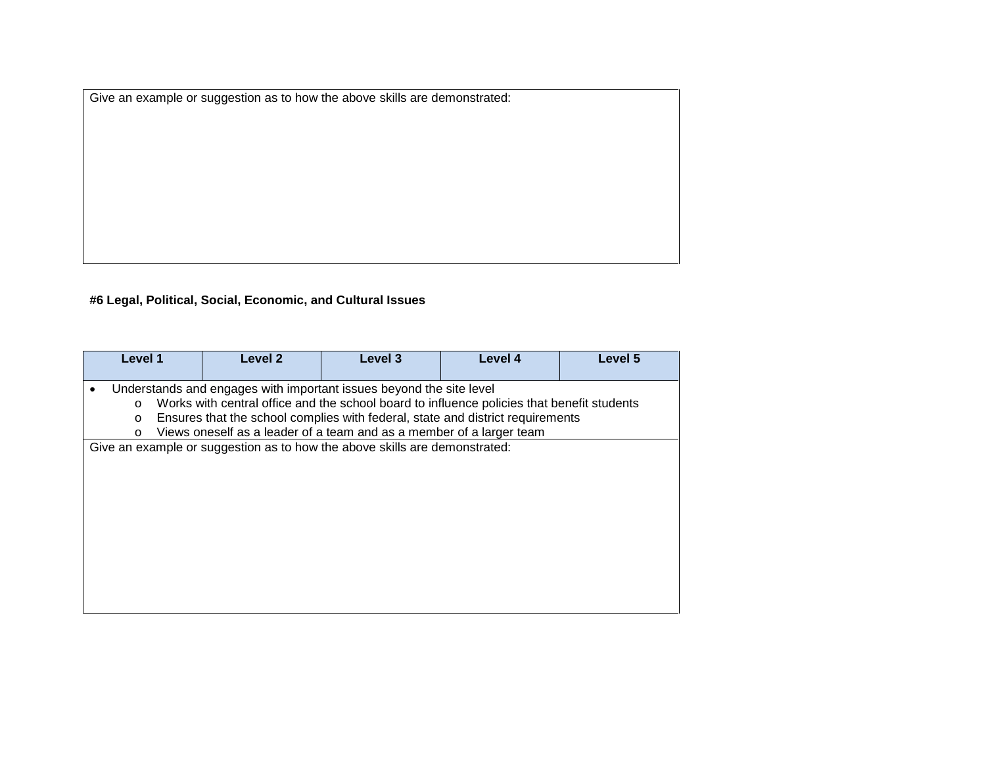Give an example or suggestion as to how the above skills are demonstrated:

**#6 Legal, Political, Social, Economic, and Cultural Issues**

| Level 1                                                                                                                                                                                                                                                                                                                                                                   | Level 2                                                                    | Level 3 | Level 4 | Level 5 |  |
|---------------------------------------------------------------------------------------------------------------------------------------------------------------------------------------------------------------------------------------------------------------------------------------------------------------------------------------------------------------------------|----------------------------------------------------------------------------|---------|---------|---------|--|
| Understands and engages with important issues beyond the site level<br>$\bullet$<br>Works with central office and the school board to influence policies that benefit students<br>$\circ$<br>Ensures that the school complies with federal, state and district requirements<br>$\circ$<br>Views oneself as a leader of a team and as a member of a larger team<br>$\circ$ |                                                                            |         |         |         |  |
|                                                                                                                                                                                                                                                                                                                                                                           | Give an example or suggestion as to how the above skills are demonstrated: |         |         |         |  |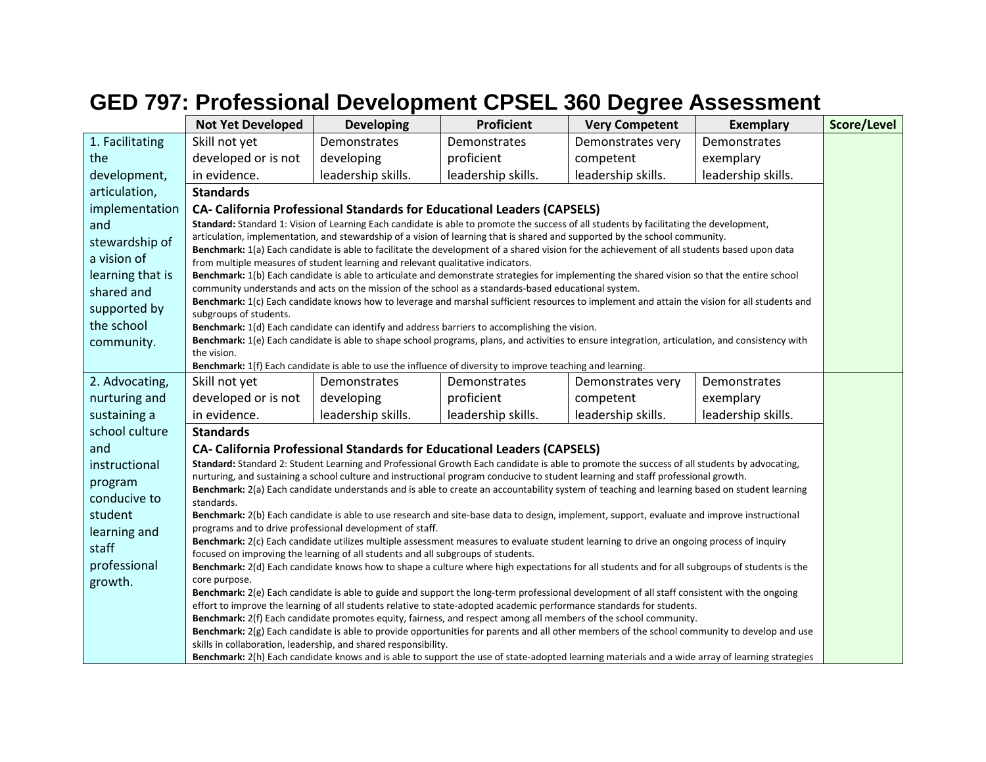# **GED 797: Professional Development CPSEL 360 Degree Assessment**

|                  | <b>Not Yet Developed</b>                                                                                                                                                                                                       | <b>Developing</b>                                                                                                                                                                                                                                                                 | <b>Proficient</b>  | <b>Very Competent</b> | <b>Exemplary</b>   | Score/Level |  |  |  |
|------------------|--------------------------------------------------------------------------------------------------------------------------------------------------------------------------------------------------------------------------------|-----------------------------------------------------------------------------------------------------------------------------------------------------------------------------------------------------------------------------------------------------------------------------------|--------------------|-----------------------|--------------------|-------------|--|--|--|
| 1. Facilitating  | Skill not yet                                                                                                                                                                                                                  | Demonstrates                                                                                                                                                                                                                                                                      | Demonstrates       | Demonstrates very     | Demonstrates       |             |  |  |  |
| the              | developed or is not                                                                                                                                                                                                            | developing                                                                                                                                                                                                                                                                        | proficient         | competent             | exemplary          |             |  |  |  |
| development,     | in evidence.                                                                                                                                                                                                                   | leadership skills.                                                                                                                                                                                                                                                                | leadership skills. | leadership skills.    | leadership skills. |             |  |  |  |
| articulation,    | <b>Standards</b>                                                                                                                                                                                                               |                                                                                                                                                                                                                                                                                   |                    |                       |                    |             |  |  |  |
| implementation   |                                                                                                                                                                                                                                | <b>CA- California Professional Standards for Educational Leaders (CAPSELS)</b>                                                                                                                                                                                                    |                    |                       |                    |             |  |  |  |
| and              |                                                                                                                                                                                                                                | Standard: Standard 1: Vision of Learning Each candidate is able to promote the success of all students by facilitating the development,                                                                                                                                           |                    |                       |                    |             |  |  |  |
| stewardship of   |                                                                                                                                                                                                                                | articulation, implementation, and stewardship of a vision of learning that is shared and supported by the school community.                                                                                                                                                       |                    |                       |                    |             |  |  |  |
| a vision of      | Benchmark: 1(a) Each candidate is able to facilitate the development of a shared vision for the achievement of all students based upon data<br>from multiple measures of student learning and relevant qualitative indicators. |                                                                                                                                                                                                                                                                                   |                    |                       |                    |             |  |  |  |
| learning that is |                                                                                                                                                                                                                                | Benchmark: 1(b) Each candidate is able to articulate and demonstrate strategies for implementing the shared vision so that the entire school                                                                                                                                      |                    |                       |                    |             |  |  |  |
| shared and       |                                                                                                                                                                                                                                | community understands and acts on the mission of the school as a standards-based educational system.<br>Benchmark: 1(c) Each candidate knows how to leverage and marshal sufficient resources to implement and attain the vision for all students and                             |                    |                       |                    |             |  |  |  |
| supported by     | subgroups of students.                                                                                                                                                                                                         |                                                                                                                                                                                                                                                                                   |                    |                       |                    |             |  |  |  |
| the school       |                                                                                                                                                                                                                                | <b>Benchmark:</b> $1(d)$ Each candidate can identify and address barriers to accomplishing the vision.                                                                                                                                                                            |                    |                       |                    |             |  |  |  |
| community.       | Benchmark: 1(e) Each candidate is able to shape school programs, plans, and activities to ensure integration, articulation, and consistency with                                                                               |                                                                                                                                                                                                                                                                                   |                    |                       |                    |             |  |  |  |
|                  |                                                                                                                                                                                                                                | the vision.<br>Benchmark: 1(f) Each candidate is able to use the influence of diversity to improve teaching and learning.                                                                                                                                                         |                    |                       |                    |             |  |  |  |
| 2. Advocating,   | Skill not yet                                                                                                                                                                                                                  | Demonstrates                                                                                                                                                                                                                                                                      | Demonstrates       | Demonstrates very     | Demonstrates       |             |  |  |  |
| nurturing and    | developed or is not                                                                                                                                                                                                            | developing                                                                                                                                                                                                                                                                        | proficient         | competent             | exemplary          |             |  |  |  |
| sustaining a     | in evidence.                                                                                                                                                                                                                   | leadership skills.                                                                                                                                                                                                                                                                | leadership skills. | leadership skills.    | leadership skills. |             |  |  |  |
| school culture   | <b>Standards</b>                                                                                                                                                                                                               |                                                                                                                                                                                                                                                                                   |                    |                       |                    |             |  |  |  |
| and              |                                                                                                                                                                                                                                | <b>CA- California Professional Standards for Educational Leaders (CAPSELS)</b>                                                                                                                                                                                                    |                    |                       |                    |             |  |  |  |
| instructional    |                                                                                                                                                                                                                                | Standard: Standard 2: Student Learning and Professional Growth Each candidate is able to promote the success of all students by advocating,                                                                                                                                       |                    |                       |                    |             |  |  |  |
| program          |                                                                                                                                                                                                                                | nurturing, and sustaining a school culture and instructional program conducive to student learning and staff professional growth.<br>Benchmark: 2(a) Each candidate understands and is able to create an accountability system of teaching and learning based on student learning |                    |                       |                    |             |  |  |  |
| conducive to     | standards.                                                                                                                                                                                                                     |                                                                                                                                                                                                                                                                                   |                    |                       |                    |             |  |  |  |
| student          |                                                                                                                                                                                                                                | Benchmark: 2(b) Each candidate is able to use research and site-base data to design, implement, support, evaluate and improve instructional                                                                                                                                       |                    |                       |                    |             |  |  |  |
| learning and     |                                                                                                                                                                                                                                | programs and to drive professional development of staff.<br>Benchmark: 2(c) Each candidate utilizes multiple assessment measures to evaluate student learning to drive an ongoing process of inquiry                                                                              |                    |                       |                    |             |  |  |  |
| staff            |                                                                                                                                                                                                                                | focused on improving the learning of all students and all subgroups of students.                                                                                                                                                                                                  |                    |                       |                    |             |  |  |  |
| professional     |                                                                                                                                                                                                                                | Benchmark: 2(d) Each candidate knows how to shape a culture where high expectations for all students and for all subgroups of students is the                                                                                                                                     |                    |                       |                    |             |  |  |  |
| growth.          | core purpose.                                                                                                                                                                                                                  | Benchmark: 2(e) Each candidate is able to guide and support the long-term professional development of all staff consistent with the ongoing                                                                                                                                       |                    |                       |                    |             |  |  |  |
|                  |                                                                                                                                                                                                                                | effort to improve the learning of all students relative to state-adopted academic performance standards for students.                                                                                                                                                             |                    |                       |                    |             |  |  |  |
|                  |                                                                                                                                                                                                                                | Benchmark: 2(f) Each candidate promotes equity, fairness, and respect among all members of the school community.                                                                                                                                                                  |                    |                       |                    |             |  |  |  |
|                  |                                                                                                                                                                                                                                | Benchmark: 2(g) Each candidate is able to provide opportunities for parents and all other members of the school community to develop and use<br>skills in collaboration, leadership, and shared responsibility.                                                                   |                    |                       |                    |             |  |  |  |
|                  |                                                                                                                                                                                                                                | Benchmark: 2(h) Each candidate knows and is able to support the use of state-adopted learning materials and a wide array of learning strategies                                                                                                                                   |                    |                       |                    |             |  |  |  |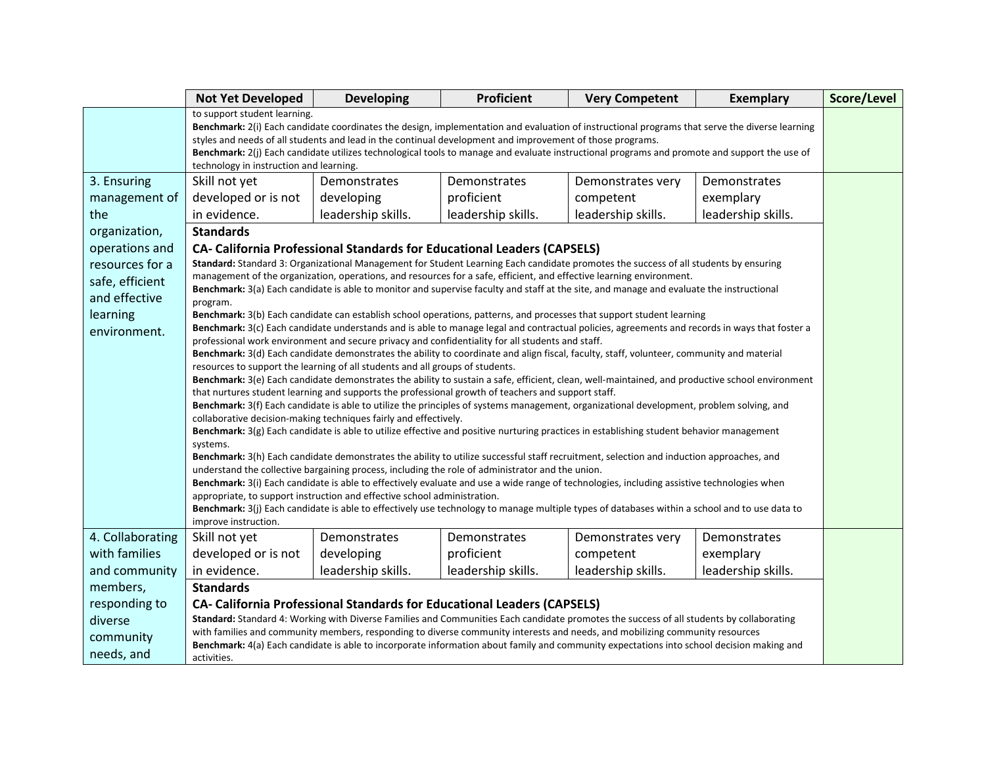|                  | <b>Not Yet Developed</b>                                                                                                                                                                                                                                                                                                                                                                                                                                                               | <b>Developing</b>                                                        | <b>Proficient</b>                                                                                                                                                                                                                                                | <b>Very Competent</b> | <b>Exemplary</b>   | Score/Level |  |
|------------------|----------------------------------------------------------------------------------------------------------------------------------------------------------------------------------------------------------------------------------------------------------------------------------------------------------------------------------------------------------------------------------------------------------------------------------------------------------------------------------------|--------------------------------------------------------------------------|------------------------------------------------------------------------------------------------------------------------------------------------------------------------------------------------------------------------------------------------------------------|-----------------------|--------------------|-------------|--|
|                  | to support student learning.<br>Benchmark: 2(i) Each candidate coordinates the design, implementation and evaluation of instructional programs that serve the diverse learning<br>styles and needs of all students and lead in the continual development and improvement of those programs.<br>Benchmark: 2(j) Each candidate utilizes technological tools to manage and evaluate instructional programs and promote and support the use of<br>technology in instruction and learning. |                                                                          |                                                                                                                                                                                                                                                                  |                       |                    |             |  |
| 3. Ensuring      | Skill not yet                                                                                                                                                                                                                                                                                                                                                                                                                                                                          | Demonstrates                                                             | Demonstrates                                                                                                                                                                                                                                                     | Demonstrates very     | Demonstrates       |             |  |
| management of    | developed or is not                                                                                                                                                                                                                                                                                                                                                                                                                                                                    | developing                                                               | proficient                                                                                                                                                                                                                                                       | competent             | exemplary          |             |  |
| the              | in evidence.                                                                                                                                                                                                                                                                                                                                                                                                                                                                           | leadership skills.                                                       | leadership skills.                                                                                                                                                                                                                                               | leadership skills.    | leadership skills. |             |  |
| organization,    | <b>Standards</b>                                                                                                                                                                                                                                                                                                                                                                                                                                                                       |                                                                          |                                                                                                                                                                                                                                                                  |                       |                    |             |  |
| operations and   |                                                                                                                                                                                                                                                                                                                                                                                                                                                                                        |                                                                          | <b>CA- California Professional Standards for Educational Leaders (CAPSELS)</b>                                                                                                                                                                                   |                       |                    |             |  |
| resources for a  |                                                                                                                                                                                                                                                                                                                                                                                                                                                                                        |                                                                          | Standard: Standard 3: Organizational Management for Student Learning Each candidate promotes the success of all students by ensuring                                                                                                                             |                       |                    |             |  |
| safe, efficient  |                                                                                                                                                                                                                                                                                                                                                                                                                                                                                        |                                                                          | management of the organization, operations, and resources for a safe, efficient, and effective learning environment.<br>Benchmark: 3(a) Each candidate is able to monitor and supervise faculty and staff at the site, and manage and evaluate the instructional |                       |                    |             |  |
| and effective    | program.                                                                                                                                                                                                                                                                                                                                                                                                                                                                               |                                                                          |                                                                                                                                                                                                                                                                  |                       |                    |             |  |
| learning         |                                                                                                                                                                                                                                                                                                                                                                                                                                                                                        |                                                                          | Benchmark: 3(b) Each candidate can establish school operations, patterns, and processes that support student learning                                                                                                                                            |                       |                    |             |  |
| environment.     |                                                                                                                                                                                                                                                                                                                                                                                                                                                                                        |                                                                          | Benchmark: 3(c) Each candidate understands and is able to manage legal and contractual policies, agreements and records in ways that foster a                                                                                                                    |                       |                    |             |  |
|                  | professional work environment and secure privacy and confidentiality for all students and staff.<br>Benchmark: 3(d) Each candidate demonstrates the ability to coordinate and align fiscal, faculty, staff, volunteer, community and material                                                                                                                                                                                                                                          |                                                                          |                                                                                                                                                                                                                                                                  |                       |                    |             |  |
|                  | resources to support the learning of all students and all groups of students.                                                                                                                                                                                                                                                                                                                                                                                                          |                                                                          |                                                                                                                                                                                                                                                                  |                       |                    |             |  |
|                  |                                                                                                                                                                                                                                                                                                                                                                                                                                                                                        |                                                                          | Benchmark: 3(e) Each candidate demonstrates the ability to sustain a safe, efficient, clean, well-maintained, and productive school environment                                                                                                                  |                       |                    |             |  |
|                  |                                                                                                                                                                                                                                                                                                                                                                                                                                                                                        |                                                                          | that nurtures student learning and supports the professional growth of teachers and support staff.<br>Benchmark: 3(f) Each candidate is able to utilize the principles of systems management, organizational development, problem solving, and                   |                       |                    |             |  |
|                  |                                                                                                                                                                                                                                                                                                                                                                                                                                                                                        | collaborative decision-making techniques fairly and effectively.         |                                                                                                                                                                                                                                                                  |                       |                    |             |  |
|                  |                                                                                                                                                                                                                                                                                                                                                                                                                                                                                        |                                                                          | <b>Benchmark:</b> $3(g)$ Each candidate is able to utilize effective and positive nurturing practices in establishing student behavior management                                                                                                                |                       |                    |             |  |
|                  | systems.                                                                                                                                                                                                                                                                                                                                                                                                                                                                               |                                                                          |                                                                                                                                                                                                                                                                  |                       |                    |             |  |
|                  |                                                                                                                                                                                                                                                                                                                                                                                                                                                                                        |                                                                          | Benchmark: 3(h) Each candidate demonstrates the ability to utilize successful staff recruitment, selection and induction approaches, and<br>understand the collective bargaining process, including the role of administrator and the union.                     |                       |                    |             |  |
|                  |                                                                                                                                                                                                                                                                                                                                                                                                                                                                                        |                                                                          | Benchmark: 3(i) Each candidate is able to effectively evaluate and use a wide range of technologies, including assistive technologies when                                                                                                                       |                       |                    |             |  |
|                  |                                                                                                                                                                                                                                                                                                                                                                                                                                                                                        | appropriate, to support instruction and effective school administration. |                                                                                                                                                                                                                                                                  |                       |                    |             |  |
|                  | improve instruction.                                                                                                                                                                                                                                                                                                                                                                                                                                                                   |                                                                          | Benchmark: 3(j) Each candidate is able to effectively use technology to manage multiple types of databases within a school and to use data to                                                                                                                    |                       |                    |             |  |
| 4. Collaborating | Skill not yet                                                                                                                                                                                                                                                                                                                                                                                                                                                                          | Demonstrates                                                             | Demonstrates                                                                                                                                                                                                                                                     | Demonstrates very     | Demonstrates       |             |  |
| with families    | developed or is not                                                                                                                                                                                                                                                                                                                                                                                                                                                                    | developing                                                               | proficient                                                                                                                                                                                                                                                       | competent             | exemplary          |             |  |
| and community    | in evidence.                                                                                                                                                                                                                                                                                                                                                                                                                                                                           | leadership skills.                                                       | leadership skills.                                                                                                                                                                                                                                               | leadership skills.    | leadership skills. |             |  |
| members,         | <b>Standards</b>                                                                                                                                                                                                                                                                                                                                                                                                                                                                       |                                                                          |                                                                                                                                                                                                                                                                  |                       |                    |             |  |
| responding to    |                                                                                                                                                                                                                                                                                                                                                                                                                                                                                        |                                                                          | CA- California Professional Standards for Educational Leaders (CAPSELS)                                                                                                                                                                                          |                       |                    |             |  |
| diverse          |                                                                                                                                                                                                                                                                                                                                                                                                                                                                                        |                                                                          | Standard: Standard 4: Working with Diverse Families and Communities Each candidate promotes the success of all students by collaborating                                                                                                                         |                       |                    |             |  |
| community        |                                                                                                                                                                                                                                                                                                                                                                                                                                                                                        |                                                                          | with families and community members, responding to diverse community interests and needs, and mobilizing community resources                                                                                                                                     |                       |                    |             |  |
| needs, and       |                                                                                                                                                                                                                                                                                                                                                                                                                                                                                        |                                                                          | Benchmark: 4(a) Each candidate is able to incorporate information about family and community expectations into school decision making and                                                                                                                        |                       |                    |             |  |
|                  | activities.                                                                                                                                                                                                                                                                                                                                                                                                                                                                            |                                                                          |                                                                                                                                                                                                                                                                  |                       |                    |             |  |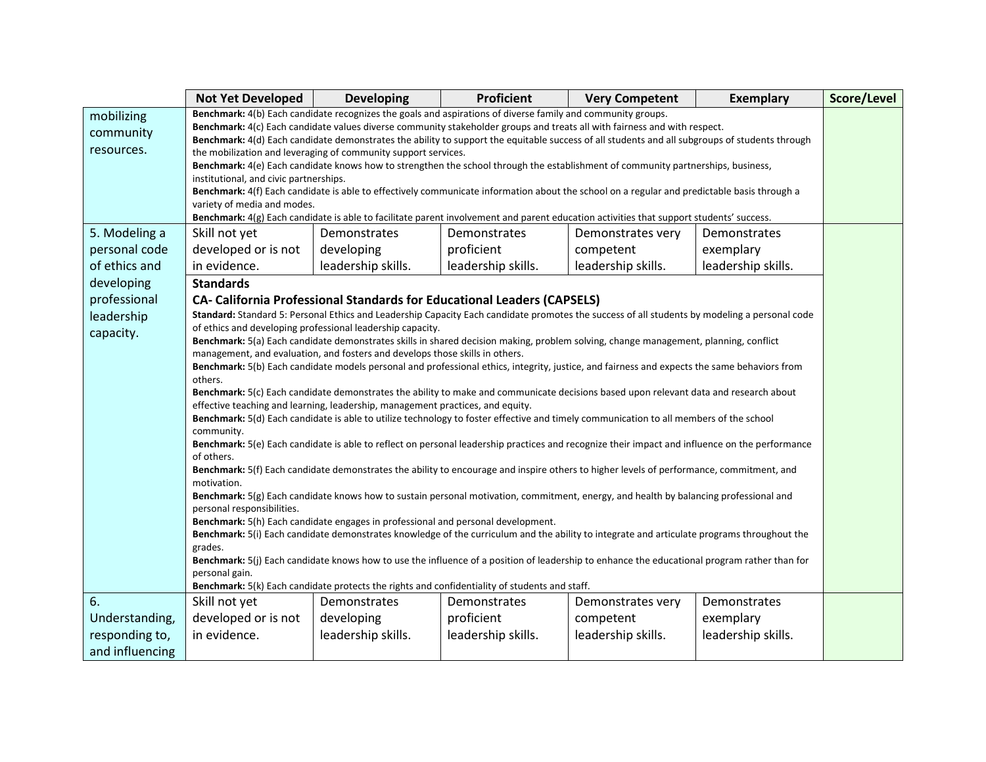|                 | <b>Not Yet Developed</b>                                                                                                                                                                                                                                                    | <b>Developing</b>                                                                                                                                                                                                               | Proficient         | <b>Very Competent</b> | <b>Exemplary</b>   | Score/Level |  |
|-----------------|-----------------------------------------------------------------------------------------------------------------------------------------------------------------------------------------------------------------------------------------------------------------------------|---------------------------------------------------------------------------------------------------------------------------------------------------------------------------------------------------------------------------------|--------------------|-----------------------|--------------------|-------------|--|
| mobilizing      |                                                                                                                                                                                                                                                                             | Benchmark: 4(b) Each candidate recognizes the goals and aspirations of diverse family and community groups.                                                                                                                     |                    |                       |                    |             |  |
| community       | Benchmark: 4(c) Each candidate values diverse community stakeholder groups and treats all with fairness and with respect.<br>Benchmark: 4(d) Each candidate demonstrates the ability to support the equitable success of all students and all subgroups of students through |                                                                                                                                                                                                                                 |                    |                       |                    |             |  |
| resources.      | the mobilization and leveraging of community support services.                                                                                                                                                                                                              |                                                                                                                                                                                                                                 |                    |                       |                    |             |  |
|                 |                                                                                                                                                                                                                                                                             | Benchmark: 4(e) Each candidate knows how to strengthen the school through the establishment of community partnerships, business,                                                                                                |                    |                       |                    |             |  |
|                 | institutional, and civic partnerships.                                                                                                                                                                                                                                      | Benchmark: 4(f) Each candidate is able to effectively communicate information about the school on a regular and predictable basis through a                                                                                     |                    |                       |                    |             |  |
|                 | variety of media and modes.                                                                                                                                                                                                                                                 |                                                                                                                                                                                                                                 |                    |                       |                    |             |  |
|                 | Benchmark: 4(g) Each candidate is able to facilitate parent involvement and parent education activities that support students' success.                                                                                                                                     |                                                                                                                                                                                                                                 |                    |                       |                    |             |  |
| 5. Modeling a   | Skill not yet                                                                                                                                                                                                                                                               | Demonstrates                                                                                                                                                                                                                    | Demonstrates       | Demonstrates very     | Demonstrates       |             |  |
| personal code   | developed or is not                                                                                                                                                                                                                                                         | developing                                                                                                                                                                                                                      | proficient         | competent             | exemplary          |             |  |
| of ethics and   | in evidence.                                                                                                                                                                                                                                                                | leadership skills.                                                                                                                                                                                                              | leadership skills. | leadership skills.    | leadership skills. |             |  |
| developing      | <b>Standards</b>                                                                                                                                                                                                                                                            |                                                                                                                                                                                                                                 |                    |                       |                    |             |  |
| professional    |                                                                                                                                                                                                                                                                             | <b>CA- California Professional Standards for Educational Leaders (CAPSELS)</b>                                                                                                                                                  |                    |                       |                    |             |  |
| leadership      |                                                                                                                                                                                                                                                                             | Standard: Standard 5: Personal Ethics and Leadership Capacity Each candidate promotes the success of all students by modeling a personal code<br>of ethics and developing professional leadership capacity.                     |                    |                       |                    |             |  |
| capacity.       |                                                                                                                                                                                                                                                                             |                                                                                                                                                                                                                                 |                    |                       |                    |             |  |
|                 | Benchmark: 5(a) Each candidate demonstrates skills in shared decision making, problem solving, change management, planning, conflict<br>management, and evaluation, and fosters and develops those skills in others.                                                        |                                                                                                                                                                                                                                 |                    |                       |                    |             |  |
|                 | Benchmark: 5(b) Each candidate models personal and professional ethics, integrity, justice, and fairness and expects the same behaviors from                                                                                                                                |                                                                                                                                                                                                                                 |                    |                       |                    |             |  |
|                 | others.                                                                                                                                                                                                                                                                     | Benchmark: 5(c) Each candidate demonstrates the ability to make and communicate decisions based upon relevant data and research about                                                                                           |                    |                       |                    |             |  |
|                 |                                                                                                                                                                                                                                                                             | effective teaching and learning, leadership, management practices, and equity.                                                                                                                                                  |                    |                       |                    |             |  |
|                 | community.                                                                                                                                                                                                                                                                  | Benchmark: 5(d) Each candidate is able to utilize technology to foster effective and timely communication to all members of the school                                                                                          |                    |                       |                    |             |  |
|                 |                                                                                                                                                                                                                                                                             | Benchmark: 5(e) Each candidate is able to reflect on personal leadership practices and recognize their impact and influence on the performance                                                                                  |                    |                       |                    |             |  |
|                 | of others.                                                                                                                                                                                                                                                                  |                                                                                                                                                                                                                                 |                    |                       |                    |             |  |
|                 | motivation.                                                                                                                                                                                                                                                                 | Benchmark: 5(f) Each candidate demonstrates the ability to encourage and inspire others to higher levels of performance, commitment, and                                                                                        |                    |                       |                    |             |  |
|                 |                                                                                                                                                                                                                                                                             | Benchmark: 5(g) Each candidate knows how to sustain personal motivation, commitment, energy, and health by balancing professional and                                                                                           |                    |                       |                    |             |  |
|                 | personal responsibilities.                                                                                                                                                                                                                                                  |                                                                                                                                                                                                                                 |                    |                       |                    |             |  |
|                 |                                                                                                                                                                                                                                                                             | Benchmark: 5(h) Each candidate engages in professional and personal development.<br>Benchmark: 5(i) Each candidate demonstrates knowledge of the curriculum and the ability to integrate and articulate programs throughout the |                    |                       |                    |             |  |
|                 | grades.                                                                                                                                                                                                                                                                     |                                                                                                                                                                                                                                 |                    |                       |                    |             |  |
|                 |                                                                                                                                                                                                                                                                             | Benchmark: 5(j) Each candidate knows how to use the influence of a position of leadership to enhance the educational program rather than for                                                                                    |                    |                       |                    |             |  |
|                 | personal gain.                                                                                                                                                                                                                                                              |                                                                                                                                                                                                                                 |                    |                       |                    |             |  |
|                 |                                                                                                                                                                                                                                                                             | Benchmark: 5(k) Each candidate protects the rights and confidentiality of students and staff.                                                                                                                                   |                    |                       |                    |             |  |
| 6.              | Skill not yet                                                                                                                                                                                                                                                               | Demonstrates                                                                                                                                                                                                                    | Demonstrates       | Demonstrates very     | Demonstrates       |             |  |
| Understanding,  | developed or is not                                                                                                                                                                                                                                                         | developing                                                                                                                                                                                                                      | proficient         | competent             | exemplary          |             |  |
| responding to,  | in evidence.                                                                                                                                                                                                                                                                | leadership skills.                                                                                                                                                                                                              | leadership skills. | leadership skills.    | leadership skills. |             |  |
| and influencing |                                                                                                                                                                                                                                                                             |                                                                                                                                                                                                                                 |                    |                       |                    |             |  |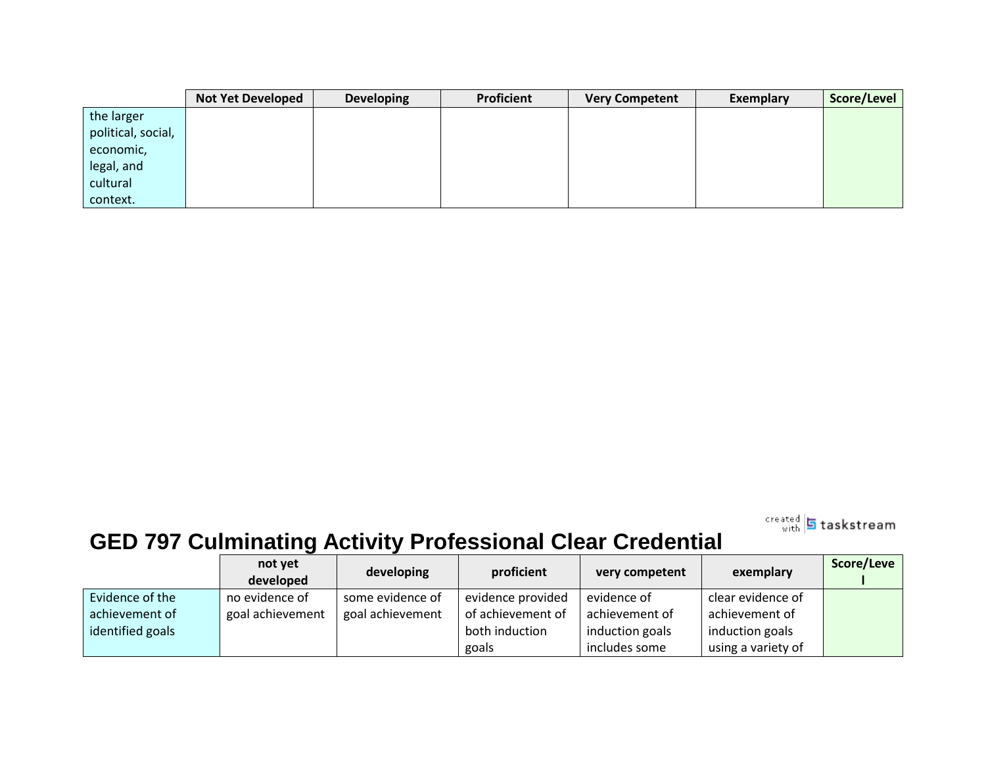|                    | <b>Not Yet Developed</b> | <b>Developing</b> | Proficient | <b>Very Competent</b> | Exemplary | Score/Level |
|--------------------|--------------------------|-------------------|------------|-----------------------|-----------|-------------|
| the larger         |                          |                   |            |                       |           |             |
| political, social, |                          |                   |            |                       |           |             |
| economic,          |                          |                   |            |                       |           |             |
| legal, and         |                          |                   |            |                       |           |             |
| cultural           |                          |                   |            |                       |           |             |
| context.           |                          |                   |            |                       |           |             |

treated 5 taskstream

# **GED 797 Culminating Activity Professional Clear Credential**

|                  | not yet<br>developed | developing       | proficient        | very competent  | exemplary          | Score/Leve |
|------------------|----------------------|------------------|-------------------|-----------------|--------------------|------------|
| Evidence of the  | no evidence of       | some evidence of | evidence provided | evidence of     | clear evidence of  |            |
| achievement of   | goal achievement     | goal achievement | of achievement of | achievement of  | achievement of     |            |
| identified goals |                      |                  | both induction    | induction goals | induction goals    |            |
|                  |                      |                  | goals             | includes some   | using a variety of |            |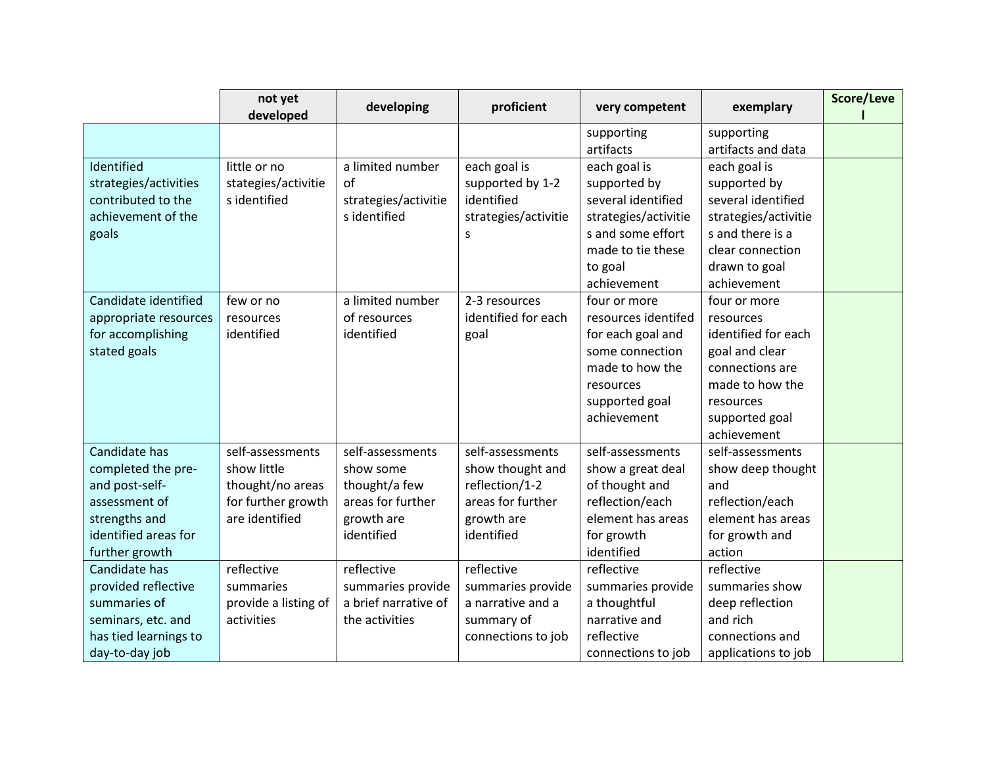|                       | not yet<br>developed | developing           | proficient           | very competent       | exemplary            | Score/Leve |
|-----------------------|----------------------|----------------------|----------------------|----------------------|----------------------|------------|
|                       |                      |                      |                      | supporting           | supporting           |            |
|                       |                      |                      |                      | artifacts            | artifacts and data   |            |
| Identified            | little or no         | a limited number     | each goal is         | each goal is         | each goal is         |            |
| strategies/activities | stategies/activitie  | of                   | supported by 1-2     | supported by         | supported by         |            |
| contributed to the    | s identified         | strategies/activitie | identified           | several identified   | several identified   |            |
| achievement of the    |                      | s identified         | strategies/activitie | strategies/activitie | strategies/activitie |            |
| goals                 |                      |                      | S                    | s and some effort    | s and there is a     |            |
|                       |                      |                      |                      | made to tie these    | clear connection     |            |
|                       |                      |                      |                      | to goal              | drawn to goal        |            |
|                       |                      |                      |                      | achievement          | achievement          |            |
| Candidate identified  | few or no            | a limited number     | 2-3 resources        | four or more         | four or more         |            |
| appropriate resources | resources            | of resources         | identified for each  | resources identifed  | resources            |            |
| for accomplishing     | identified           | identified           | goal                 | for each goal and    | identified for each  |            |
| stated goals          |                      |                      |                      | some connection      | goal and clear       |            |
|                       |                      |                      |                      | made to how the      | connections are      |            |
|                       |                      |                      |                      | resources            | made to how the      |            |
|                       |                      |                      |                      | supported goal       | resources            |            |
|                       |                      |                      |                      | achievement          | supported goal       |            |
|                       |                      |                      |                      |                      | achievement          |            |
| Candidate has         | self-assessments     | self-assessments     | self-assessments     | self-assessments     | self-assessments     |            |
| completed the pre-    | show little          | show some            | show thought and     | show a great deal    | show deep thought    |            |
| and post-self-        | thought/no areas     | thought/a few        | reflection/1-2       | of thought and       | and                  |            |
| assessment of         | for further growth   | areas for further    | areas for further    | reflection/each      | reflection/each      |            |
| strengths and         | are identified       | growth are           | growth are           | element has areas    | element has areas    |            |
| identified areas for  |                      | identified           | identified           | for growth           | for growth and       |            |
| further growth        |                      |                      |                      | identified           | action               |            |
| Candidate has         | reflective           | reflective           | reflective           | reflective           | reflective           |            |
| provided reflective   | summaries            | summaries provide    | summaries provide    | summaries provide    | summaries show       |            |
| summaries of          | provide a listing of | a brief narrative of | a narrative and a    | a thoughtful         | deep reflection      |            |
| seminars, etc. and    | activities           | the activities       | summary of           | narrative and        | and rich             |            |
| has tied learnings to |                      |                      | connections to job   | reflective           | connections and      |            |
| day-to-day job        |                      |                      |                      | connections to job   | applications to job  |            |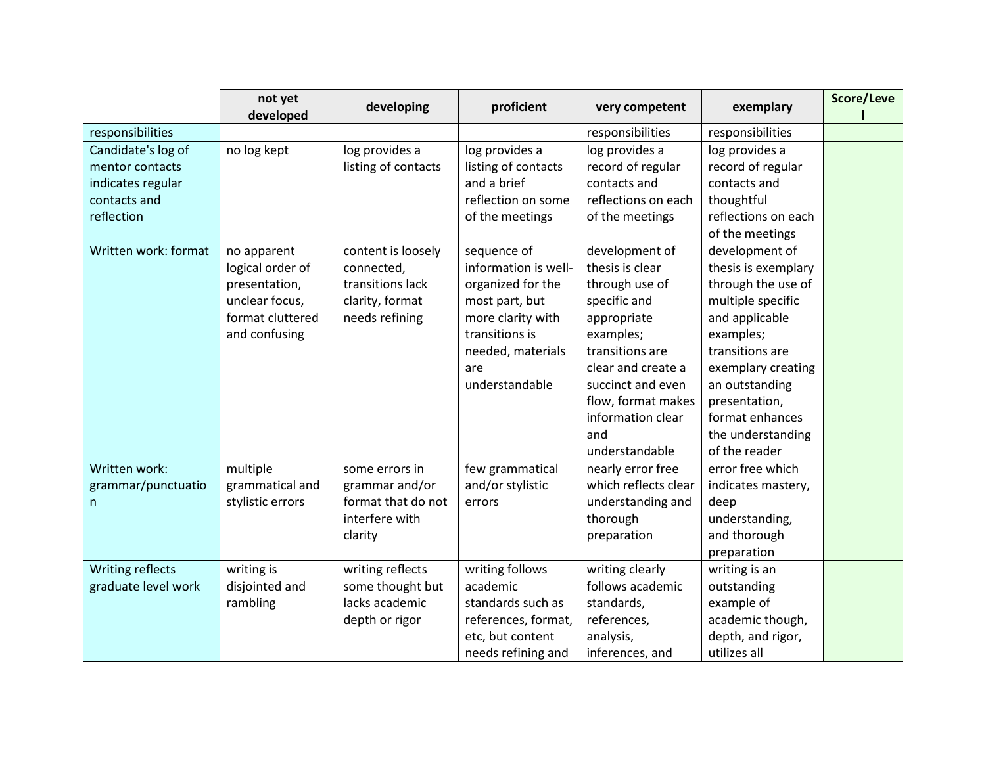|                                                                                          | not yet<br>developed                                                                                    | developing                                                                                | proficient                                                                                                                                                      | very competent                                                                                                                                                                                                                    | exemplary                                                                                                                                                                                                                                                               | Score/Leve |
|------------------------------------------------------------------------------------------|---------------------------------------------------------------------------------------------------------|-------------------------------------------------------------------------------------------|-----------------------------------------------------------------------------------------------------------------------------------------------------------------|-----------------------------------------------------------------------------------------------------------------------------------------------------------------------------------------------------------------------------------|-------------------------------------------------------------------------------------------------------------------------------------------------------------------------------------------------------------------------------------------------------------------------|------------|
| responsibilities                                                                         |                                                                                                         |                                                                                           |                                                                                                                                                                 | responsibilities                                                                                                                                                                                                                  | responsibilities                                                                                                                                                                                                                                                        |            |
| Candidate's log of<br>mentor contacts<br>indicates regular<br>contacts and<br>reflection | no log kept                                                                                             | log provides a<br>listing of contacts                                                     | log provides a<br>listing of contacts<br>and a brief<br>reflection on some<br>of the meetings                                                                   | log provides a<br>record of regular<br>contacts and<br>reflections on each<br>of the meetings                                                                                                                                     | log provides a<br>record of regular<br>contacts and<br>thoughtful<br>reflections on each                                                                                                                                                                                |            |
| Written work: format                                                                     | no apparent<br>logical order of<br>presentation,<br>unclear focus,<br>format cluttered<br>and confusing | content is loosely<br>connected,<br>transitions lack<br>clarity, format<br>needs refining | sequence of<br>information is well-<br>organized for the<br>most part, but<br>more clarity with<br>transitions is<br>needed, materials<br>are<br>understandable | development of<br>thesis is clear<br>through use of<br>specific and<br>appropriate<br>examples;<br>transitions are<br>clear and create a<br>succinct and even<br>flow, format makes<br>information clear<br>and<br>understandable | of the meetings<br>development of<br>thesis is exemplary<br>through the use of<br>multiple specific<br>and applicable<br>examples;<br>transitions are<br>exemplary creating<br>an outstanding<br>presentation,<br>format enhances<br>the understanding<br>of the reader |            |
| Written work:<br>grammar/punctuatio<br>n.                                                | multiple<br>grammatical and<br>stylistic errors                                                         | some errors in<br>grammar and/or<br>format that do not<br>interfere with<br>clarity       | few grammatical<br>and/or stylistic<br>errors                                                                                                                   | nearly error free<br>which reflects clear<br>understanding and<br>thorough<br>preparation                                                                                                                                         | error free which<br>indicates mastery,<br>deep<br>understanding,<br>and thorough<br>preparation                                                                                                                                                                         |            |
| Writing reflects<br>graduate level work                                                  | writing is<br>disjointed and<br>rambling                                                                | writing reflects<br>some thought but<br>lacks academic<br>depth or rigor                  | writing follows<br>academic<br>standards such as<br>references, format,<br>etc, but content<br>needs refining and                                               | writing clearly<br>follows academic<br>standards,<br>references,<br>analysis,<br>inferences, and                                                                                                                                  | writing is an<br>outstanding<br>example of<br>academic though,<br>depth, and rigor,<br>utilizes all                                                                                                                                                                     |            |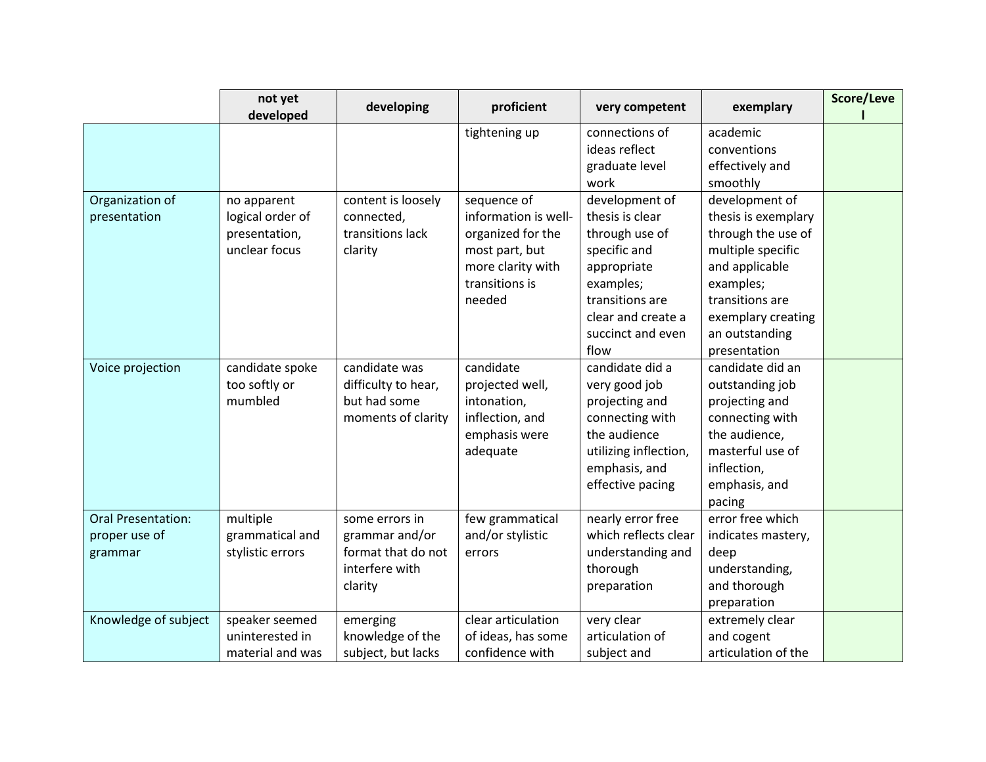|                           | not yet<br>developed | developing          | proficient           | very competent        | exemplary           | Score/Leve |
|---------------------------|----------------------|---------------------|----------------------|-----------------------|---------------------|------------|
|                           |                      |                     | tightening up        | connections of        | academic            |            |
|                           |                      |                     |                      | ideas reflect         | conventions         |            |
|                           |                      |                     |                      | graduate level        | effectively and     |            |
|                           |                      |                     |                      | work                  | smoothly            |            |
| Organization of           | no apparent          | content is loosely  | sequence of          | development of        | development of      |            |
| presentation              | logical order of     | connected,          | information is well- | thesis is clear       | thesis is exemplary |            |
|                           | presentation,        | transitions lack    | organized for the    | through use of        | through the use of  |            |
|                           | unclear focus        | clarity             | most part, but       | specific and          | multiple specific   |            |
|                           |                      |                     | more clarity with    | appropriate           | and applicable      |            |
|                           |                      |                     | transitions is       | examples;             | examples;           |            |
|                           |                      |                     | needed               | transitions are       | transitions are     |            |
|                           |                      |                     |                      | clear and create a    | exemplary creating  |            |
|                           |                      |                     |                      | succinct and even     | an outstanding      |            |
|                           |                      |                     |                      | flow                  | presentation        |            |
| Voice projection          | candidate spoke      | candidate was       | candidate            | candidate did a       | candidate did an    |            |
|                           | too softly or        | difficulty to hear, | projected well,      | very good job         | outstanding job     |            |
|                           | mumbled              | but had some        | intonation,          | projecting and        | projecting and      |            |
|                           |                      | moments of clarity  | inflection, and      | connecting with       | connecting with     |            |
|                           |                      |                     | emphasis were        | the audience          | the audience,       |            |
|                           |                      |                     | adequate             | utilizing inflection, | masterful use of    |            |
|                           |                      |                     |                      | emphasis, and         | inflection,         |            |
|                           |                      |                     |                      | effective pacing      | emphasis, and       |            |
|                           |                      |                     |                      |                       | pacing              |            |
| <b>Oral Presentation:</b> | multiple             | some errors in      | few grammatical      | nearly error free     | error free which    |            |
| proper use of             | grammatical and      | grammar and/or      | and/or stylistic     | which reflects clear  | indicates mastery,  |            |
| grammar                   | stylistic errors     | format that do not  | errors               | understanding and     | deep                |            |
|                           |                      | interfere with      |                      | thorough              | understanding,      |            |
|                           |                      | clarity             |                      | preparation           | and thorough        |            |
|                           |                      |                     |                      |                       | preparation         |            |
| Knowledge of subject      | speaker seemed       | emerging            | clear articulation   | very clear            | extremely clear     |            |
|                           | uninterested in      | knowledge of the    | of ideas, has some   | articulation of       | and cogent          |            |
|                           | material and was     | subject, but lacks  | confidence with      | subject and           | articulation of the |            |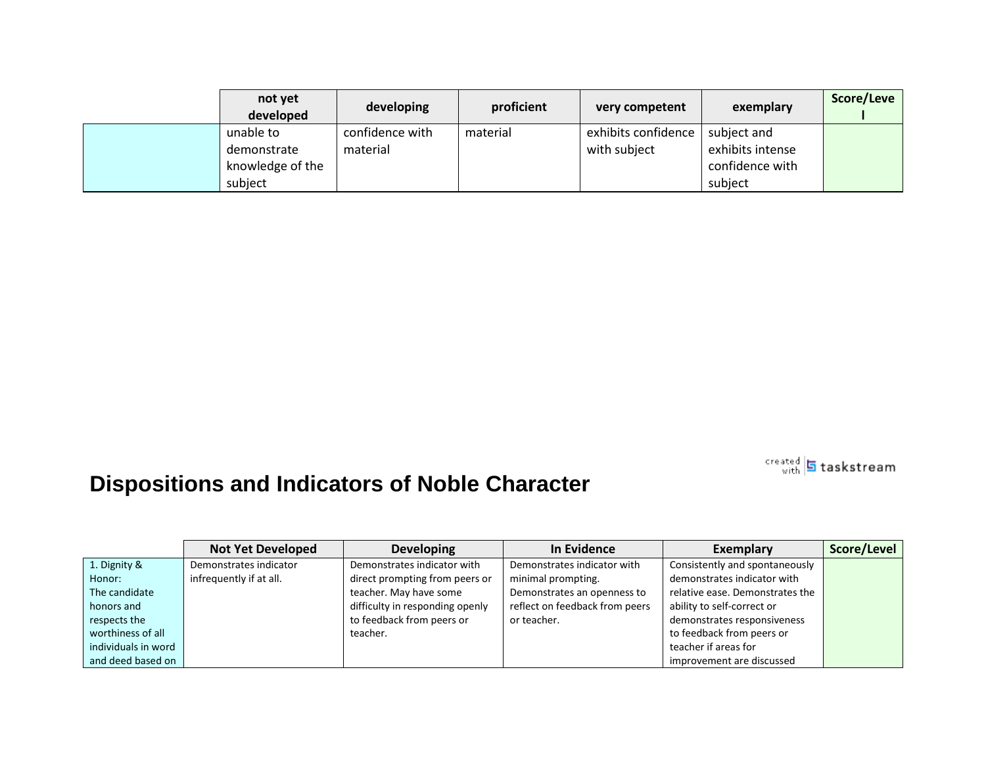| not yet<br>developed | developing      | proficient | very competent      | exemplary        | Score/Leve |
|----------------------|-----------------|------------|---------------------|------------------|------------|
| unable to            | confidence with | material   | exhibits confidence | subject and      |            |
| demonstrate          | material        |            | with subject        | exhibits intense |            |
| knowledge of the     |                 |            |                     | confidence with  |            |
| subject              |                 |            |                     | subject          |            |

## **Dispositions and Indicators of Noble Character**

Not Yet Developed | Developing | In Evidence | Exemplary | Score/Level 1. Dignity & Honor: The candidate honors and respects the worthiness of all individuals in word and deed based on Demonstrates indicator infrequently if at all. Demonstrates indicator with direct prompting from peers or teacher. May have some difficulty in responding openly to feedback from peers or teacher. Demonstrates indicator with minimal prompting. Demonstrates an openness to reflect on feedback from peers or teacher. Consistently and spontaneously demonstrates indicator with relative ease. Demonstrates the ability to self-correct or demonstrates responsiveness to feedback from peers or teacher if areas for improvement are discussed

sreated 5 taskstream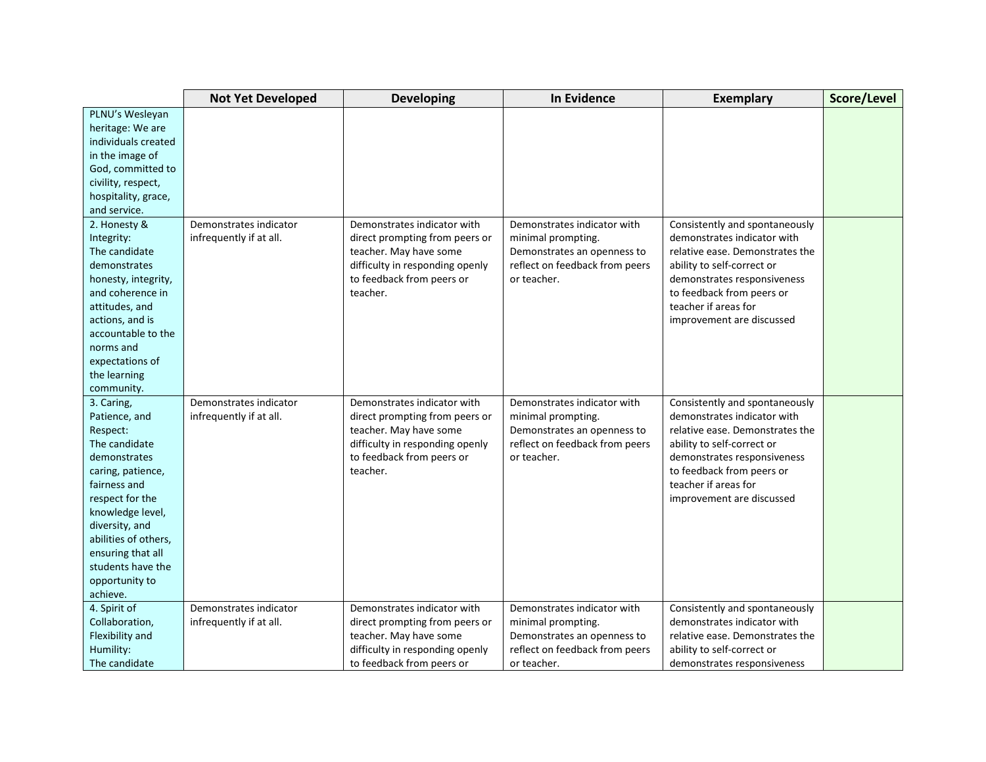|                      | <b>Not Yet Developed</b> | <b>Developing</b>               | <b>In Evidence</b>             | <b>Exemplary</b>                | Score/Level |
|----------------------|--------------------------|---------------------------------|--------------------------------|---------------------------------|-------------|
| PLNU's Wesleyan      |                          |                                 |                                |                                 |             |
| heritage: We are     |                          |                                 |                                |                                 |             |
| individuals created  |                          |                                 |                                |                                 |             |
| in the image of      |                          |                                 |                                |                                 |             |
| God, committed to    |                          |                                 |                                |                                 |             |
| civility, respect,   |                          |                                 |                                |                                 |             |
| hospitality, grace,  |                          |                                 |                                |                                 |             |
| and service.         |                          |                                 |                                |                                 |             |
| 2. Honesty &         | Demonstrates indicator   | Demonstrates indicator with     | Demonstrates indicator with    | Consistently and spontaneously  |             |
| Integrity:           | infrequently if at all.  | direct prompting from peers or  | minimal prompting.             | demonstrates indicator with     |             |
| The candidate        |                          | teacher. May have some          | Demonstrates an openness to    | relative ease. Demonstrates the |             |
| demonstrates         |                          | difficulty in responding openly | reflect on feedback from peers | ability to self-correct or      |             |
| honesty, integrity,  |                          | to feedback from peers or       | or teacher.                    | demonstrates responsiveness     |             |
| and coherence in     |                          | teacher.                        |                                | to feedback from peers or       |             |
| attitudes, and       |                          |                                 |                                | teacher if areas for            |             |
| actions, and is      |                          |                                 |                                | improvement are discussed       |             |
| accountable to the   |                          |                                 |                                |                                 |             |
| norms and            |                          |                                 |                                |                                 |             |
| expectations of      |                          |                                 |                                |                                 |             |
| the learning         |                          |                                 |                                |                                 |             |
| community.           |                          |                                 |                                |                                 |             |
| 3. Caring,           | Demonstrates indicator   | Demonstrates indicator with     | Demonstrates indicator with    | Consistently and spontaneously  |             |
| Patience, and        | infrequently if at all.  | direct prompting from peers or  | minimal prompting.             | demonstrates indicator with     |             |
| Respect:             |                          | teacher. May have some          | Demonstrates an openness to    | relative ease. Demonstrates the |             |
| The candidate        |                          | difficulty in responding openly | reflect on feedback from peers | ability to self-correct or      |             |
| demonstrates         |                          | to feedback from peers or       | or teacher.                    | demonstrates responsiveness     |             |
| caring, patience,    |                          | teacher.                        |                                | to feedback from peers or       |             |
| fairness and         |                          |                                 |                                | teacher if areas for            |             |
| respect for the      |                          |                                 |                                | improvement are discussed       |             |
| knowledge level,     |                          |                                 |                                |                                 |             |
| diversity, and       |                          |                                 |                                |                                 |             |
| abilities of others, |                          |                                 |                                |                                 |             |
| ensuring that all    |                          |                                 |                                |                                 |             |
| students have the    |                          |                                 |                                |                                 |             |
| opportunity to       |                          |                                 |                                |                                 |             |
| achieve.             |                          |                                 |                                |                                 |             |
| 4. Spirit of         | Demonstrates indicator   | Demonstrates indicator with     | Demonstrates indicator with    | Consistently and spontaneously  |             |
| Collaboration,       | infrequently if at all.  | direct prompting from peers or  | minimal prompting.             | demonstrates indicator with     |             |
| Flexibility and      |                          | teacher. May have some          | Demonstrates an openness to    | relative ease. Demonstrates the |             |
| Humility:            |                          | difficulty in responding openly | reflect on feedback from peers | ability to self-correct or      |             |
| The candidate        |                          | to feedback from peers or       | or teacher.                    | demonstrates responsiveness     |             |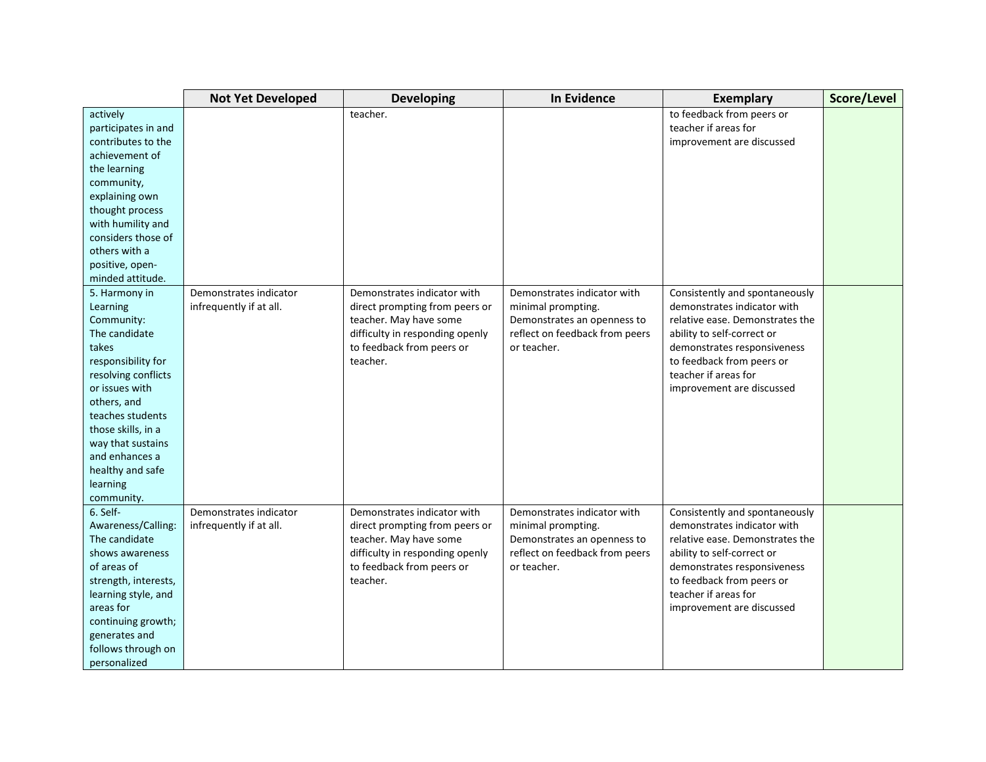|                      | <b>Not Yet Developed</b> | <b>Developing</b>               | <b>In Evidence</b>             | <b>Exemplary</b>                | Score/Level |
|----------------------|--------------------------|---------------------------------|--------------------------------|---------------------------------|-------------|
| actively             |                          | teacher.                        |                                | to feedback from peers or       |             |
| participates in and  |                          |                                 |                                | teacher if areas for            |             |
| contributes to the   |                          |                                 |                                | improvement are discussed       |             |
| achievement of       |                          |                                 |                                |                                 |             |
| the learning         |                          |                                 |                                |                                 |             |
| community,           |                          |                                 |                                |                                 |             |
| explaining own       |                          |                                 |                                |                                 |             |
| thought process      |                          |                                 |                                |                                 |             |
| with humility and    |                          |                                 |                                |                                 |             |
| considers those of   |                          |                                 |                                |                                 |             |
| others with a        |                          |                                 |                                |                                 |             |
| positive, open-      |                          |                                 |                                |                                 |             |
| minded attitude.     |                          |                                 |                                |                                 |             |
| 5. Harmony in        | Demonstrates indicator   | Demonstrates indicator with     | Demonstrates indicator with    | Consistently and spontaneously  |             |
| Learning             | infrequently if at all.  | direct prompting from peers or  | minimal prompting.             | demonstrates indicator with     |             |
| Community:           |                          | teacher. May have some          | Demonstrates an openness to    | relative ease. Demonstrates the |             |
| The candidate        |                          | difficulty in responding openly | reflect on feedback from peers | ability to self-correct or      |             |
| takes                |                          | to feedback from peers or       | or teacher.                    | demonstrates responsiveness     |             |
| responsibility for   |                          | teacher.                        |                                | to feedback from peers or       |             |
| resolving conflicts  |                          |                                 |                                | teacher if areas for            |             |
| or issues with       |                          |                                 |                                | improvement are discussed       |             |
| others, and          |                          |                                 |                                |                                 |             |
| teaches students     |                          |                                 |                                |                                 |             |
| those skills, in a   |                          |                                 |                                |                                 |             |
| way that sustains    |                          |                                 |                                |                                 |             |
| and enhances a       |                          |                                 |                                |                                 |             |
| healthy and safe     |                          |                                 |                                |                                 |             |
| learning             |                          |                                 |                                |                                 |             |
| community.           |                          |                                 |                                |                                 |             |
| 6. Self-             | Demonstrates indicator   | Demonstrates indicator with     | Demonstrates indicator with    | Consistently and spontaneously  |             |
| Awareness/Calling:   | infrequently if at all.  | direct prompting from peers or  | minimal prompting.             | demonstrates indicator with     |             |
| The candidate        |                          | teacher. May have some          | Demonstrates an openness to    | relative ease. Demonstrates the |             |
| shows awareness      |                          | difficulty in responding openly | reflect on feedback from peers | ability to self-correct or      |             |
| of areas of          |                          | to feedback from peers or       | or teacher.                    | demonstrates responsiveness     |             |
| strength, interests, |                          | teacher.                        |                                | to feedback from peers or       |             |
| learning style, and  |                          |                                 |                                | teacher if areas for            |             |
| areas for            |                          |                                 |                                | improvement are discussed       |             |
| continuing growth;   |                          |                                 |                                |                                 |             |
| generates and        |                          |                                 |                                |                                 |             |
| follows through on   |                          |                                 |                                |                                 |             |
| personalized         |                          |                                 |                                |                                 |             |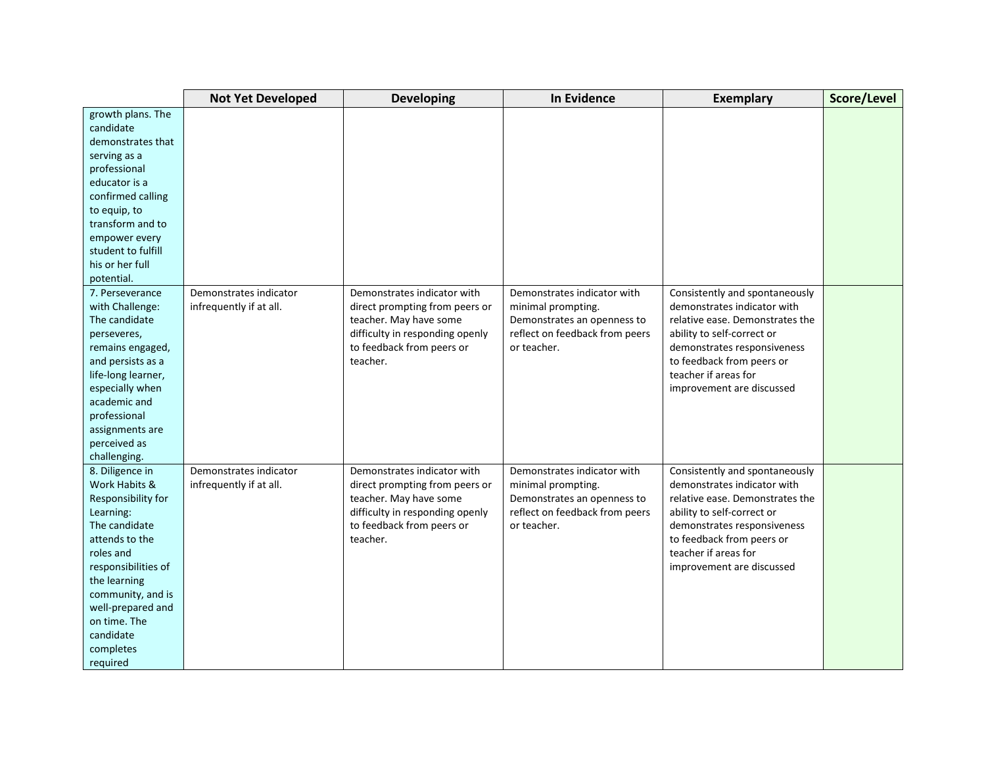|                     | <b>Not Yet Developed</b> | <b>Developing</b>               | <b>In Evidence</b>             | <b>Exemplary</b>                | Score/Level |
|---------------------|--------------------------|---------------------------------|--------------------------------|---------------------------------|-------------|
| growth plans. The   |                          |                                 |                                |                                 |             |
| candidate           |                          |                                 |                                |                                 |             |
| demonstrates that   |                          |                                 |                                |                                 |             |
| serving as a        |                          |                                 |                                |                                 |             |
| professional        |                          |                                 |                                |                                 |             |
| educator is a       |                          |                                 |                                |                                 |             |
| confirmed calling   |                          |                                 |                                |                                 |             |
| to equip, to        |                          |                                 |                                |                                 |             |
| transform and to    |                          |                                 |                                |                                 |             |
| empower every       |                          |                                 |                                |                                 |             |
| student to fulfill  |                          |                                 |                                |                                 |             |
| his or her full     |                          |                                 |                                |                                 |             |
| potential.          |                          |                                 |                                |                                 |             |
| 7. Perseverance     | Demonstrates indicator   | Demonstrates indicator with     | Demonstrates indicator with    | Consistently and spontaneously  |             |
| with Challenge:     | infrequently if at all.  | direct prompting from peers or  | minimal prompting.             | demonstrates indicator with     |             |
| The candidate       |                          | teacher. May have some          | Demonstrates an openness to    | relative ease. Demonstrates the |             |
| perseveres,         |                          | difficulty in responding openly | reflect on feedback from peers | ability to self-correct or      |             |
| remains engaged,    |                          | to feedback from peers or       | or teacher.                    | demonstrates responsiveness     |             |
| and persists as a   |                          | teacher.                        |                                | to feedback from peers or       |             |
| life-long learner,  |                          |                                 |                                | teacher if areas for            |             |
| especially when     |                          |                                 |                                | improvement are discussed       |             |
| academic and        |                          |                                 |                                |                                 |             |
| professional        |                          |                                 |                                |                                 |             |
| assignments are     |                          |                                 |                                |                                 |             |
| perceived as        |                          |                                 |                                |                                 |             |
| challenging.        |                          |                                 |                                |                                 |             |
| 8. Diligence in     | Demonstrates indicator   | Demonstrates indicator with     | Demonstrates indicator with    | Consistently and spontaneously  |             |
| Work Habits &       | infrequently if at all.  | direct prompting from peers or  | minimal prompting.             | demonstrates indicator with     |             |
| Responsibility for  |                          | teacher. May have some          | Demonstrates an openness to    | relative ease. Demonstrates the |             |
| Learning:           |                          | difficulty in responding openly | reflect on feedback from peers | ability to self-correct or      |             |
| The candidate       |                          | to feedback from peers or       | or teacher.                    | demonstrates responsiveness     |             |
| attends to the      |                          | teacher.                        |                                | to feedback from peers or       |             |
| roles and           |                          |                                 |                                | teacher if areas for            |             |
| responsibilities of |                          |                                 |                                | improvement are discussed       |             |
| the learning        |                          |                                 |                                |                                 |             |
| community, and is   |                          |                                 |                                |                                 |             |
| well-prepared and   |                          |                                 |                                |                                 |             |
| on time. The        |                          |                                 |                                |                                 |             |
| candidate           |                          |                                 |                                |                                 |             |
| completes           |                          |                                 |                                |                                 |             |
| required            |                          |                                 |                                |                                 |             |